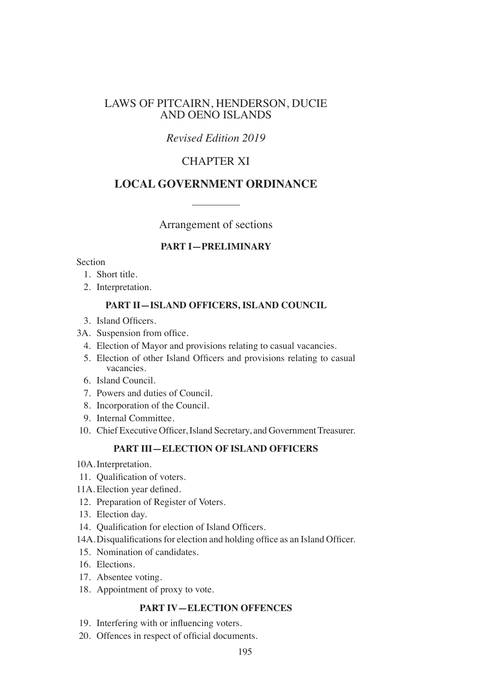# LAWS OF PITCAIRN, HENDERSON, DUCIE AND OENO ISLANDS

# *Revised Edition 2019*

# CHAPTER XI

# **LOCAL GOVERNMENT ORDINANCE**

Arrangement of sections

## **PART I—PRELIMINARY**

## Section

- 1. Short title.
- 2. Interpretation.

## **PART II—ISLAND OFFICERS, ISLAND COUNCIL**

- 3. Island Officers.
- 3A. Suspension from office.
	- 4. Election of Mayor and provisions relating to casual vacancies.
	- 5. Election of other Island Officers and provisions relating to casual vacancies.
	- 6. Island Council.
	- 7. Powers and duties of Council.
	- 8. Incorporation of the Council.
	- 9. Internal Committee.
- 10. Chief Executive Officer, Island Secretary, and Government Treasurer.

## **PART III—ELECTION OF ISLAND OFFICERS**

- 10A.Interpretation.
- 11. Qualification of voters.
- 11A. Election year defned.
- 12. Preparation of Register of Voters.
- 13. Election day.
- 14. Qualification for election of Island Officers.
- 14A. Disqualifications for election and holding office as an Island Officer.
- 15. Nomination of candidates.
- 16. Elections.
- 17. Absentee voting.
- 18. Appointment of proxy to vote.

## **PART IV—ELECTION OFFENCES**

- 19. Interfering with or infuencing voters.
- 20. Offences in respect of offcial documents.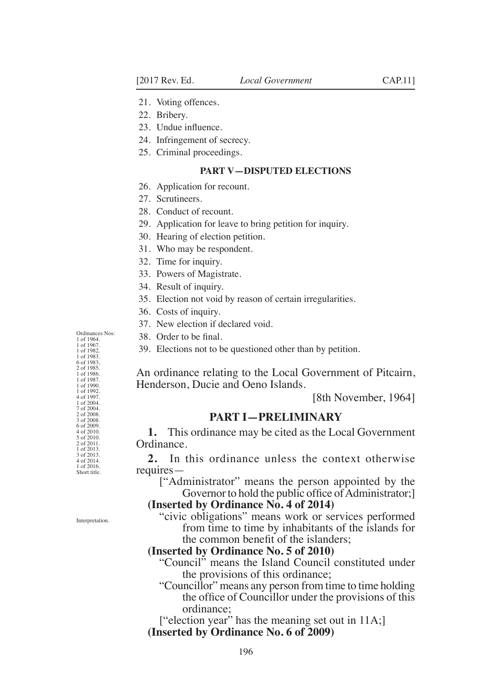- 21. Voting offences.
- 22. Bribery.
- 23. Undue influence.
- 24. Infringement of secrecy.
- 25. Criminal proceedings.

#### **PART V—DISPUTED ELECTIONS**

- 26. Application for recount.
- 27. Scrutineers.
- 28. Conduct of recount.
- 29. Application for leave to bring petition for inquiry.
- 30. Hearing of election petition.
- 31. Who may be respondent.
- 32. Time for inquiry.
- 33. Powers of Magistrate.
- 34. Result of inquiry.
- 35. Election not void by reason of certain irregularities.
- 36. Costs of inquiry.
- 37. New election if declared void.
- 38. Order to be fnal.
- 39. Elections not to be questioned other than by petition.

An ordinance relating to the Local Government of Pitcairn, Henderson, Ducie and Oeno Islands.

[8th November, 1964]

# **PART I—PRELIMINARY**

**1.** This ordinance may be cited as the Local Government Ordinance.

**2.** In this ordinance unless the context otherwise requires—

["Administrator" means the person appointed by the

Governor to hold the public office of Administrator; **(Inserted by Ordinance No. 4 of 2014)**

"civic obligations" means work or services performed from time to time by inhabitants of the islands for the common beneft of the islanders;

## **(Inserted by Ordinance No. 5 of 2010)**

- "Council" means the Island Council constituted under the provisions of this ordinance;
- "Councillor" means any person from time to time holding the offce of Councillor under the provisions of this ordinance;

["election year" has the meaning set out in 11A;] **(Inserted by Ordinance No. 6 of 2009)**

Interpretation.

Ordinances Nos: 1 of 1964. 1 of 1967. 1 of 1982. 1 of 1983. 6 of 1983, 2 of 1985. 1 of 1986. 1 of 1987. 1 of 1990. 1 of 1992. 4 of 1997. 1 of 2004. 7 of 2004. 2 of 2008. 3 of 2008. 6 of 2009. 4 of 2010. 5 of 2010. 2 of 2011. 1 of 2013. 3 of 2013. 4 of 2014. 1 of 2016. Short title.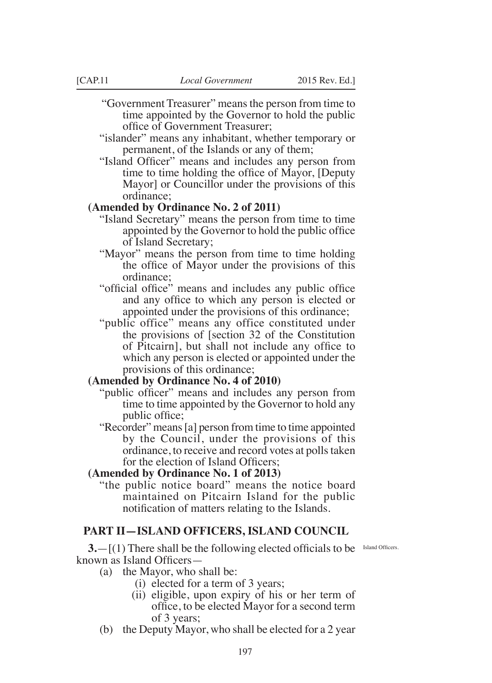- "Government Treasurer" means the person from time to time appointed by the Governor to hold the public office of Government Treasurer;
- "islander" means any inhabitant, whether temporary or permanent, of the Islands or any of them;
- "Island Offcer" means and includes any person from time to time holding the office of Mayor, [Deputy] Mayor] or Councillor under the provisions of this ordinance;

## **(Amended by Ordinance No. 2 of 2011)**

- "Island Secretary" means the person from time to time appointed by the Governor to hold the public offce of Island Secretary;
- "Mayor" means the person from time to time holding the office of Mayor under the provisions of this ordinance;
- "official office" means and includes any public office" and any office to which any person is elected or appointed under the provisions of this ordinance;
- "public office" means any office constituted under the provisions of [section 32 of the Constitution of Pitcairn, but shall not include any office to which any person is elected or appointed under the provisions of this ordinance;

## **(Amended by Ordinance No. 4 of 2010)**

- "public officer" means and includes any person from time to time appointed by the Governor to hold any public office;
- "Recorder" means [a] person from time to time appointed by the Council, under the provisions of this ordinance, to receive and record votes at polls taken for the election of Island Officers;

## **(Amended by Ordinance No. 1 of 2013)**

"the public notice board" means the notice board maintained on Pitcairn Island for the public notifcation of matters relating to the Islands.

## **PART II—ISLAND OFFICERS, ISLAND COUNCIL**

**3.** - [(1) There shall be the following elected officials to be Island Officers. known as Island Officers—

- (a) the Mayor, who shall be:
	- (i) elected for a term of 3 years;
	- (ii) eligible, upon expiry of his or her term of offce, to be elected Mayor for a second term of 3 years;
- (b) the Deputy Mayor, who shall be elected for a 2 year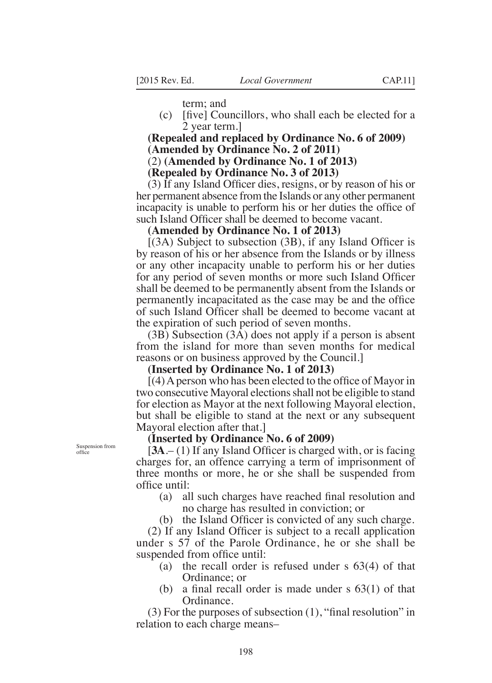term; and

 $(c)$  [five] Councillors, who shall each be elected for a 2 year term.]

# **(Repealed and replaced by Ordinance No. 6 of 2009) (Amended by Ordinance No. 2 of 2011)**

### (2) **(Amended by Ordinance No. 1 of 2013)**

### **(Repealed by Ordinance No. 3 of 2013)**

(3) If any Island Offcer dies, resigns, or by reason of his or her permanent absence from the Islands or any other permanent incapacity is unable to perform his or her duties the office of such Island Officer shall be deemed to become vacant.

### **(Amended by Ordinance No. 1 of 2013)**

 $[(3A)$  Subject to subsection  $(3B)$ , if any Island Officer is by reason of his or her absence from the Islands or by illness or any other incapacity unable to perform his or her duties for any period of seven months or more such Island Officer shall be deemed to be permanently absent from the Islands or permanently incapacitated as the case may be and the office of such Island Offcer shall be deemed to become vacant at the expiration of such period of seven months.

(3B) Subsection (3A) does not apply if a person is absent from the island for more than seven months for medical reasons or on business approved by the Council.]

#### **(Inserted by Ordinance No. 1 of 2013)**

 $[(4)$  A person who has been elected to the office of Mayor in two consecutive Mayoral elections shall not be eligible to stand for election as Mayor at the next following Mayoral election, but shall be eligible to stand at the next or any subsequent Mayoral election after that.]

### **(Inserted by Ordinance No. 6 of 2009)**

 $[3A - (1)$  If any Island Officer is charged with, or is facing charges for, an offence carrying a term of imprisonment of three months or more, he or she shall be suspended from offce until:

- (a) all such charges have reached fnal resolution and no charge has resulted in conviction; or
- (b) the Island Officer is convicted of any such charge.

(2) If any Island Offcer is subject to a recall application under s 57 of the Parole Ordinance, he or she shall be suspended from office until:

- (a) the recall order is refused under s 63(4) of that Ordinance; or
- (b) a fnal recall order is made under s 63(1) of that Ordinance.

(3) For the purposes of subsection (1), "fnal resolution" in relation to each charge means–

Suspension from  $offce$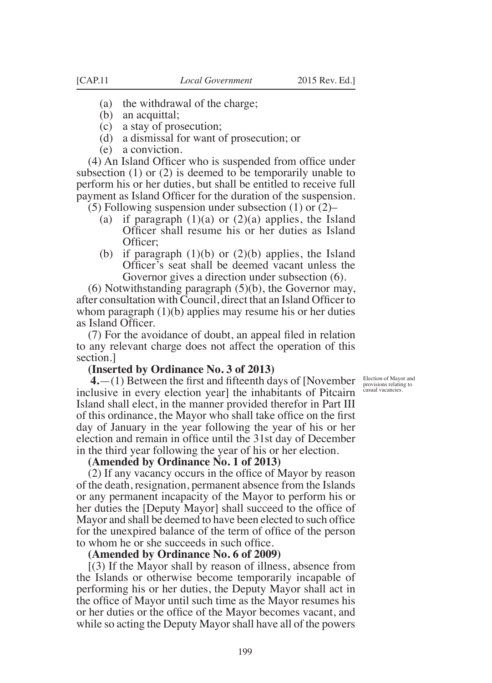- (a) the withdrawal of the charge;
- (b) an acquittal;
- (c) a stay of prosecution;
- (d) a dismissal for want of prosecution; or
- (e) a conviction.

(4) An Island Offcer who is suspended from offce under subsection (1) or (2) is deemed to be temporarily unable to perform his or her duties, but shall be entitled to receive full payment as Island Officer for the duration of the suspension.

(5) Following suspension under subsection (1) or (2)–

- (a) if paragraph  $(1)(a)$  or  $(2)(a)$  applies, the Island Offcer shall resume his or her duties as Island Officer:
- (b) if paragraph  $(1)(b)$  or  $(2)(b)$  applies, the Island Offcer's seat shall be deemed vacant unless the Governor gives a direction under subsection (6).

(6) Notwithstanding paragraph (5)(b), the Governor may, after consultation with Council, direct that an Island Officer to whom paragraph  $(1)(b)$  applies may resume his or her duties as Island Officer.

(7) For the avoidance of doubt, an appeal fled in relation to any relevant charge does not affect the operation of this section.]

### **(Inserted by Ordinance No. 3 of 2013)**

 **4.**—(1) Between the frst and ffteenth days of [November inclusive in every election year] the inhabitants of Pitcairn Island shall elect, in the manner provided therefor in Part III of this ordinance, the Mayor who shall take offce on the frst day of January in the year following the year of his or her election and remain in offce until the 31st day of December in the third year following the year of his or her election.

### **(Amended by Ordinance No. 1 of 2013)**

(2) If any vacancy occurs in the offce of Mayor by reason of the death, resignation, permanent absence from the Islands or any permanent incapacity of the Mayor to perform his or her duties the [Deputy Mayor] shall succeed to the office of Mayor and shall be deemed to have been elected to such office for the unexpired balance of the term of office of the person to whom he or she succeeds in such office.

## **(Amended by Ordinance No. 6 of 2009)**

[(3) If the Mayor shall by reason of illness, absence from the Islands or otherwise become temporarily incapable of performing his or her duties, the Deputy Mayor shall act in the office of Mayor until such time as the Mayor resumes his or her duties or the offce of the Mayor becomes vacant, and while so acting the Deputy Mayor shall have all of the powers

Election of Mayor and provisions relating to casual vacancies.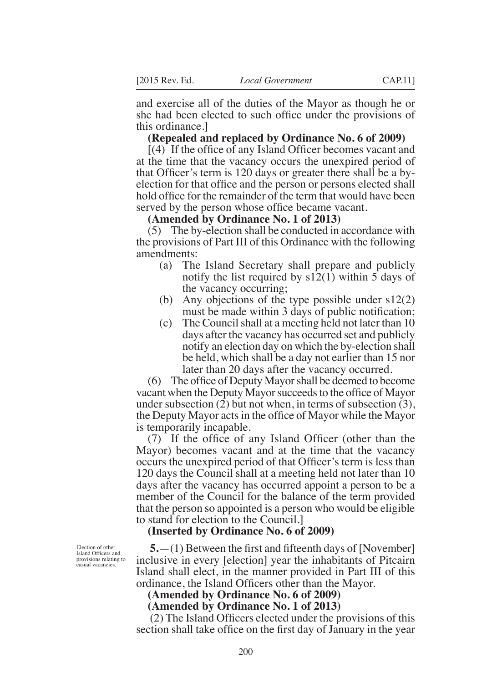and exercise all of the duties of the Mayor as though he or she had been elected to such office under the provisions of this ordinance.]

### **(Repealed and replaced by Ordinance No. 6 of 2009)**

[(4) If the offce of any Island Offcer becomes vacant and at the time that the vacancy occurs the unexpired period of that Officer's term is 120 days or greater there shall be a byelection for that office and the person or persons elected shall hold office for the remainder of the term that would have been served by the person whose office became vacant.

## **(Amended by Ordinance No. 1 of 2013)**

(5) The by-election shall be conducted in accordance with the provisions of Part III of this Ordinance with the following amendments:

- (a) The Island Secretary shall prepare and publicly notify the list required by s12(1) within 5 days of the vacancy occurring;
- (b) Any objections of the type possible under s12(2) must be made within 3 days of public notifcation;
- (c) The Council shall at a meeting held not later than 10 days after the vacancy has occurred set and publicly notify an election day on which the by-election shall be held, which shall be a day not earlier than 15 nor later than 20 days after the vacancy occurred.

(6) The offce of Deputy Mayorshall be deemed to become vacant when the Deputy Mayor succeeds to the office of Mayor under subsection (2) but not when, in terms of subsection (3), the Deputy Mayor acts in the office of Mayor while the Mayor is temporarily incapable.

(7) If the offce of any Island Offcer (other than the Mayor) becomes vacant and at the time that the vacancy occurs the unexpired period of that Officer's term is less than 120 days the Council shall at a meeting held not later than 10 days after the vacancy has occurred appoint a person to be a member of the Council for the balance of the term provided that the person so appointed is a person who would be eligible to stand for election to the Council.]

## **(Inserted by Ordinance No. 6 of 2009)**

**5.**—(1) Between the first and fifteenth days of [November] inclusive in every [election] year the inhabitants of Pitcairn Island shall elect, in the manner provided in Part III of this ordinance, the Island Officers other than the Mayor.

## **(Amended by Ordinance No. 6 of 2009)**

**(Amended by Ordinance No. 1 of 2013)**

(2) The Island Offcers elected under the provisions of this section shall take office on the first day of January in the year

Election of other Island Offcers and provisions relating to casual vacancies.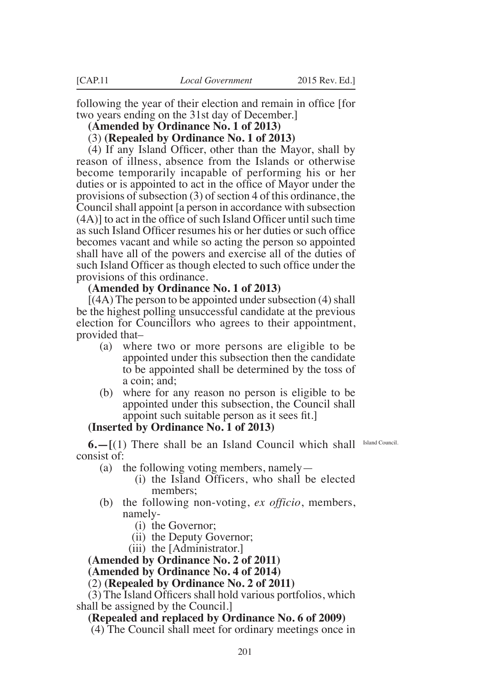following the year of their election and remain in office [for two years ending on the 31st day of December.]

**(Amended by Ordinance No. 1 of 2013)**

(3) **(Repealed by Ordinance No. 1 of 2013)**

(4) If any Island Offcer, other than the Mayor, shall by reason of illness, absence from the Islands or otherwise become temporarily incapable of performing his or her duties or is appointed to act in the office of Mayor under the provisions of subsection (3) of section 4 of this ordinance, the Council shall appoint [a person in accordance with subsection  $(4A)$  to act in the office of such Island Officer until such time as such Island Officer resumes his or her duties or such office becomes vacant and while so acting the person so appointed shall have all of the powers and exercise all of the duties of such Island Officer as though elected to such office under the provisions of this ordinance.

### **(Amended by Ordinance No. 1 of 2013)**

[(4A) The person to be appointed under subsection (4) shall be the highest polling unsuccessful candidate at the previous election for Councillors who agrees to their appointment, provided that–

- (a) where two or more persons are eligible to be appointed under this subsection then the candidate to be appointed shall be determined by the toss of a coin; and;
- (b) where for any reason no person is eligible to be appointed under this subsection, the Council shall appoint such suitable person as it sees fit.

### **(Inserted by Ordinance No. 1 of 2013)**

**6.**—[(1) There shall be an Island Council which shall Island Council. consist of:

(a) the following voting members, namely—

- (i) the Island Officers, who shall be elected members;
- (b) the following non-voting, *ex officio*, members, namely-
	- (i) the Governor;
	- (ii) the Deputy Governor;
	- (iii) the [Administrator.]

**(Amended by Ordinance No. 2 of 2011)**

**(Amended by Ordinance No. 4 of 2014)**

(2) **(Repealed by Ordinance No. 2 of 2011)**

(3) The Island Offcers shall hold various portfolios, which shall be assigned by the Council.]

**(Repealed and replaced by Ordinance No. 6 of 2009)**

(4) The Council shall meet for ordinary meetings once in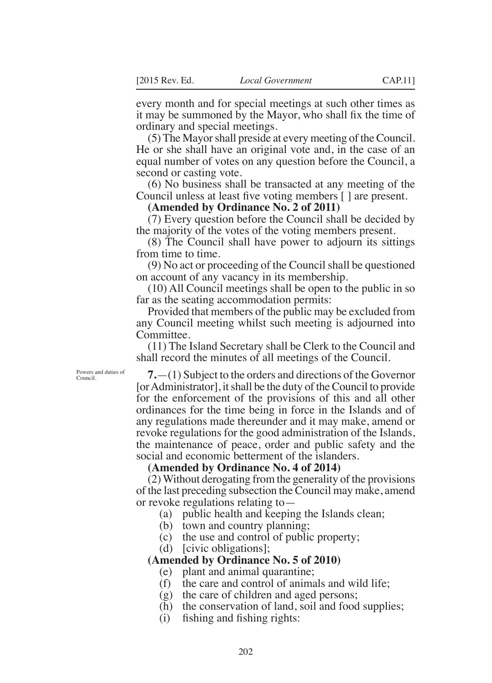every month and for special meetings at such other times as it may be summoned by the Mayor, who shall fx the time of ordinary and special meetings.

(5) The Mayor shall preside at every meeting of the Council. He or she shall have an original vote and, in the case of an equal number of votes on any question before the Council, a second or casting vote.

(6) No business shall be transacted at any meeting of the Council unless at least five voting members  $\lceil \cdot \rceil$  are present.

### **(Amended by Ordinance No. 2 of 2011)**

(7) Every question before the Council shall be decided by the majority of the votes of the voting members present.

(8) The Council shall have power to adjourn its sittings from time to time.

(9) No act or proceeding of the Council shall be questioned on account of any vacancy in its membership.

(10) All Council meetings shall be open to the public in so far as the seating accommodation permits:

Provided that members of the public may be excluded from any Council meeting whilst such meeting is adjourned into Committee.

(11) The Island Secretary shall be Clerk to the Council and shall record the minutes of all meetings of the Council.

Powers and duties of Council.

**7.**—(1) Subject to the orders and directions of the Governor [or Administrator], it shall be the duty of the Council to provide for the enforcement of the provisions of this and all other ordinances for the time being in force in the Islands and of any regulations made thereunder and it may make, amend or revoke regulations for the good administration of the Islands, the maintenance of peace, order and public safety and the social and economic betterment of the islanders.

### **(Amended by Ordinance No. 4 of 2014)**

(2) Without derogating from the generality of the provisions of the last preceding subsection the Council may make, amend or revoke regulations relating to—

- (a) public health and keeping the Islands clean;
- (b) town and country planning;
- (c) the use and control of public property;
- (d) [civic obligations];

### **(Amended by Ordinance No. 5 of 2010)**

- (e) plant and animal quarantine;
- (f) the care and control of animals and wild life;
- (g) the care of children and aged persons;
- (h) the conservation of land, soil and food supplies;
- (i) fshing and fshing rights: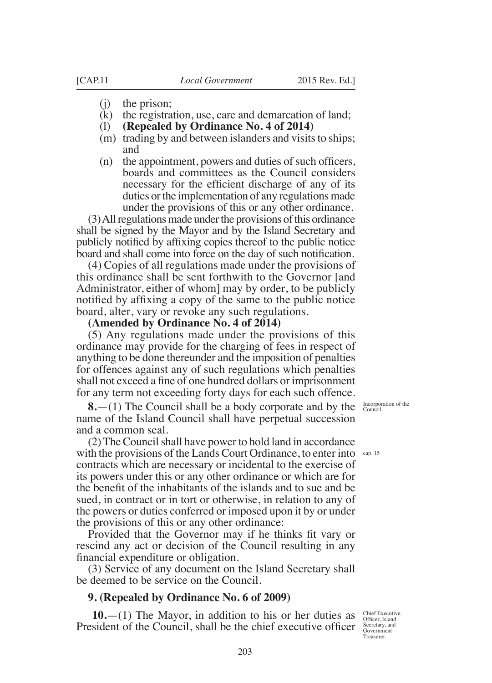- (j) the prison;
- (k) the registration, use, care and demarcation of land;
- (l) **(Repealed by Ordinance No. 4 of 2014)**
- (m) trading by and between islanders and visits to ships; and
- (n) the appointment, powers and duties of such offcers, boards and committees as the Council considers necessary for the efficient discharge of any of its duties or the implementation of any regulations made under the provisions of this or any other ordinance.

(3) All regulations made under the provisions of this ordinance shall be signed by the Mayor and by the Island Secretary and publicly notifed by affxing copies thereof to the public notice board and shall come into force on the day of such notifcation.

(4) Copies of all regulations made under the provisions of this ordinance shall be sent forthwith to the Governor [and Administrator, either of whom] may by order, to be publicly notifed by affxing a copy of the same to the public notice board, alter, vary or revoke any such regulations.

### **(Amended by Ordinance No. 4 of 2014)**

(5) Any regulations made under the provisions of this ordinance may provide for the charging of fees in respect of anything to be done thereunder and the imposition of penalties for offences against any of such regulations which penalties shall not exceed a fne of one hundred dollars or imprisonment for any term not exceeding forty days for each such offence.

**8.** - (1) The Council shall be a body corporate and by the  $\frac{Incorposition of the}{Counti}$ . name of the Island Council shall have perpetual succession and a common seal.

(2) The Council shall have power to hold land in accordance with the provisions of the Lands Court Ordinance, to enter into cap. 15 contracts which are necessary or incidental to the exercise of its powers under this or any other ordinance or which are for the beneft of the inhabitants of the islands and to sue and be sued, in contract or in tort or otherwise, in relation to any of the powers or duties conferred or imposed upon it by or under the provisions of this or any other ordinance:

Provided that the Governor may if he thinks ft vary or rescind any act or decision of the Council resulting in any fnancial expenditure or obligation.

(3) Service of any document on the Island Secretary shall be deemed to be service on the Council.

### **9. (Repealed by Ordinance No. 6 of 2009)**

 **10.**—(1) The Mayor, in addition to his or her duties as President of the Council, shall be the chief executive officer

Chief Executive Offcer, Island Secretary, and Government Treasurer.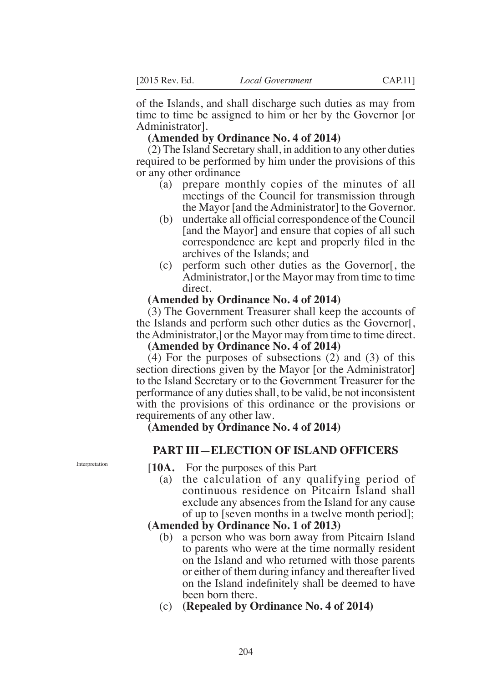of the Islands, and shall discharge such duties as may from time to time be assigned to him or her by the Governor [or Administrator].

### **(Amended by Ordinance No. 4 of 2014)**

(2) The Island Secretary shall, in addition to any other duties required to be performed by him under the provisions of this or any other ordinance

- (a) prepare monthly copies of the minutes of all meetings of the Council for transmission through the Mayor [and the Administrator] to the Governor.
- (b) undertake all offcial correspondence of the Council [and the Mayor] and ensure that copies of all such correspondence are kept and properly fled in the archives of the Islands; and
- (c) perform such other duties as the Governor[, the Administrator,] or the Mayor may from time to time direct.

### **(Amended by Ordinance No. 4 of 2014)**

(3) The Government Treasurer shall keep the accounts of the Islands and perform such other duties as the Governor[, the Administrator,] or the Mayor may from time to time direct.

## **(Amended by Ordinance No. 4 of 2014)**

(4) For the purposes of subsections (2) and (3) of this section directions given by the Mayor [or the Administrator] to the Island Secretary or to the Government Treasurer for the performance of any duties shall, to be valid, be not inconsistent with the provisions of this ordinance or the provisions or requirements of any other law.

## **(Amended by Ordinance No. 4 of 2014)**

# **PART III—ELECTION OF ISLAND OFFICERS**

Interpretation

[**10A.** For the purposes of this Part

(a) the calculation of any qualifying period of continuous residence on Pitcairn Island shall exclude any absences from the Island for any cause of up to [seven months in a twelve month period];

### **(Amended by Ordinance No. 1 of 2013)**

- (b) a person who was born away from Pitcairn Island to parents who were at the time normally resident on the Island and who returned with those parents or either of them during infancy and thereafter lived on the Island indefnitely shall be deemed to have been born there.
- (c) **(Repealed by Ordinance No. 4 of 2014)**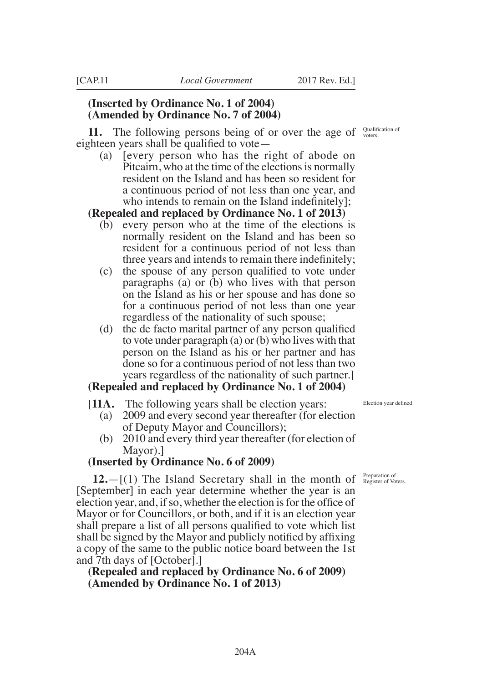## **(Inserted by Ordinance No. 1 of 2004) (Amended by Ordinance No. 7 of 2004)**

**11.** The following persons being of or over the age of Qualification of eighteen years shall be qualifed to vote—

(a) [every person who has the right of abode on Pitcairn, who at the time of the elections is normally resident on the Island and has been so resident for a continuous period of not less than one year, and who intends to remain on the Island indefinitely $\vert$ ;

# **(Repealed and replaced by Ordinance No. 1 of 2013)**

- (b) every person who at the time of the elections is normally resident on the Island and has been so resident for a continuous period of not less than three years and intends to remain there indefinitely;
- (c) the spouse of any person qualifed to vote under paragraphs (a) or (b) who lives with that person on the Island as his or her spouse and has done so for a continuous period of not less than one year regardless of the nationality of such spouse;
- (d) the de facto marital partner of any person qualifed to vote under paragraph (a) or (b) who lives with that person on the Island as his or her partner and has done so for a continuous period of not less than two years regardless of the nationality of such partner.]

# **(Repealed and replaced by Ordinance No. 1 of 2004)**

- [**11A.** The following years shall be election years:
	- (a) 2009 and every second year thereafter (for election of Deputy Mayor and Councillors);
	- (b) 2010 and every third year thereafter (for election of Mayor).]

# **(Inserted by Ordinance No. 6 of 2009)**

**12.** - [(1) The Island Secretary shall in the month of Preparation of Negister of Voters. [September] in each year determine whether the year is an election year, and, if so, whether the election is for the office of Mayor or for Councillors, or both, and if it is an election year shall prepare a list of all persons qualifed to vote which list shall be signed by the Mayor and publicly notifed by affxing a copy of the same to the public notice board between the 1st and 7th days of [October].]

**(Repealed and replaced by Ordinance No. 6 of 2009) (Amended by Ordinance No. 1 of 2013)**

Election year defned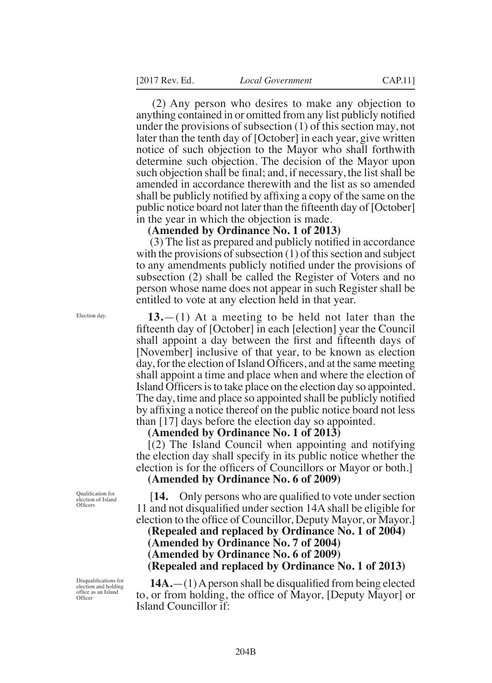(2) Any person who desires to make any objection to anything contained in or omitted from any list publicly notifed under the provisions of subsection (1) of this section may, not later than the tenth day of [October] in each year, give written notice of such objection to the Mayor who shall forthwith determine such objection. The decision of the Mayor upon such objection shall be final; and, if necessary, the list shall be amended in accordance therewith and the list as so amended shall be publicly notifed by affxing a copy of the same on the public notice board not later than the fifteenth day of [October] in the year in which the objection is made.

## **(Amended by Ordinance No. 1 of 2013)**

(3) The list as prepared and publicly notifed in accordance with the provisions of subsection (1) of this section and subject to any amendments publicly notifed under the provisions of subsection (2) shall be called the Register of Voters and no person whose name does not appear in such Register shall be entitled to vote at any election held in that year.

**13.**—(1) At a meeting to be held not later than the fifteenth day of [October] in each [election] year the Council shall appoint a day between the frst and ffteenth days of [November] inclusive of that year, to be known as election day, for the election of Island Officers, and at the same meeting shall appoint a time and place when and where the election of Island Officers is to take place on the election day so appointed. The day, time and place so appointed shall be publicly notifed by affxing a notice thereof on the public notice board not less than [17] days before the election day so appointed.

## **(Amended by Ordinance No. 1 of 2013)**

[(2) The Island Council when appointing and notifying the election day shall specify in its public notice whether the election is for the officers of Councillors or Mayor or both.

# **(Amended by Ordinance No. 6 of 2009)**

[14. Only persons who are qualified to vote under section 11 and not disqualifed under section 14A shall be eligible for election to the office of Councillor, Deputy Mayor, or Mayor.

**(Repealed and replaced by Ordinance No. 1 of 2004) (Amended by Ordinance No. 7 of 2004) (Amended by Ordinance No. 6 of 2009) (Repealed and replaced by Ordinance No. 1 of 2013)**

14A.—(1) A person shall be disqualified from being elected to, or from holding, the office of Mayor, [Deputy Mayor] or Island Councillor if:

Election day.

Qualification for election of Island Officers

Disqualifcations for election and holding office as an Island<br>Officer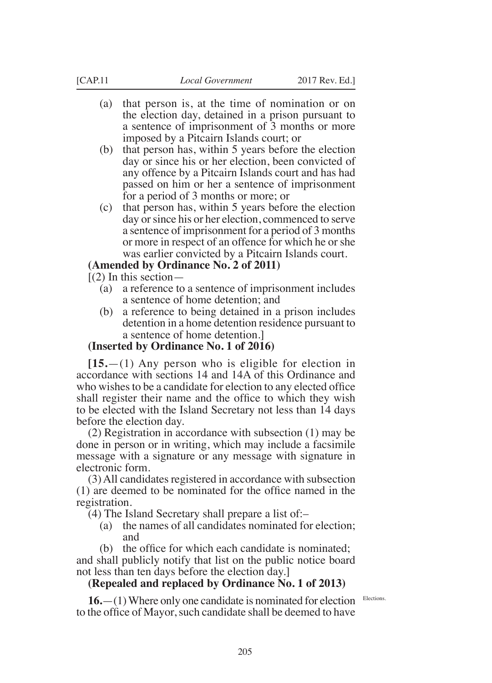- (a) that person is, at the time of nomination or on the election day, detained in a prison pursuant to a sentence of imprisonment of 3 months or more imposed by a Pitcairn Islands court; or
- (b) that person has, within 5 years before the election day or since his or her election, been convicted of any offence by a Pitcairn Islands court and has had passed on him or her a sentence of imprisonment for a period of 3 months or more; or
- (c) that person has, within 5 years before the election day or since his or her election, commenced to serve a sentence of imprisonment for a period of 3 months or more in respect of an offence for which he or she was earlier convicted by a Pitcairn Islands court.

## **(Amended by Ordinance No. 2 of 2011)**

 $(2)$  In this section—

- (a) a reference to a sentence of imprisonment includes a sentence of home detention; and
- (b) a reference to being detained in a prison includes detention in a home detention residence pursuant to a sentence of home detention.]

## **(Inserted by Ordinance No. 1 of 2016)**

**[15.**—(1) Any person who is eligible for election in accordance with sections 14 and 14A of this Ordinance and who wishes to be a candidate for election to any elected office shall register their name and the office to which they wish to be elected with the Island Secretary not less than 14 days before the election day.

(2) Registration in accordance with subsection (1) may be done in person or in writing, which may include a facsimile message with a signature or any message with signature in electronic form.

(3) All candidates registered in accordance with subsection (1) are deemed to be nominated for the offce named in the registration.

(4) The Island Secretary shall prepare a list of:–

(a) the names of all candidates nominated for election; and

(b) the office for which each candidate is nominated; and shall publicly notify that list on the public notice board not less than ten days before the election day.]

# **(Repealed and replaced by Ordinance No. 1 of 2013)**

**16.** - (1) Where only one candidate is nominated for election Elections. to the office of Mayor, such candidate shall be deemed to have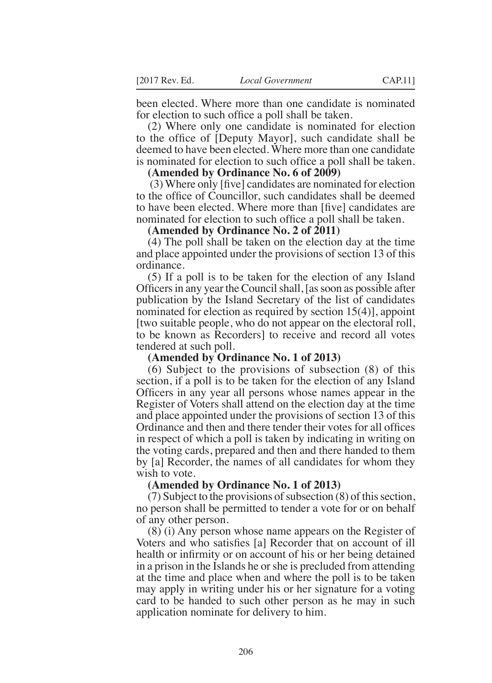been elected. Where more than one candidate is nominated for election to such office a poll shall be taken.

(2) Where only one candidate is nominated for election to the office of [Deputy Mayor], such candidate shall be deemed to have been elected. Where more than one candidate is nominated for election to such offce a poll shall be taken.

## **(Amended by Ordinance No. 6 of 2009)**

 $(3)$  Where only [five] candidates are nominated for election to the offce of Councillor, such candidates shall be deemed to have been elected. Where more than [five] candidates are nominated for election to such office a poll shall be taken.

### **(Amended by Ordinance No. 2 of 2011)**

(4) The poll shall be taken on the election day at the time and place appointed under the provisions of section 13 of this ordinance.

(5) If a poll is to be taken for the election of any Island Officers in any year the Council shall, [as soon as possible after publication by the Island Secretary of the list of candidates nominated for election as required by section 15(4)], appoint [two suitable people, who do not appear on the electoral roll, to be known as Recorders] to receive and record all votes tendered at such poll.

### **(Amended by Ordinance No. 1 of 2013)**

(6) Subject to the provisions of subsection (8) of this section, if a poll is to be taken for the election of any Island Offcers in any year all persons whose names appear in the Register of Voters shall attend on the election day at the time and place appointed under the provisions of section 13 of this Ordinance and then and there tender their votes for all offices in respect of which a poll is taken by indicating in writing on the voting cards, prepared and then and there handed to them by [a] Recorder, the names of all candidates for whom they wish to vote.

### **(Amended by Ordinance No. 1 of 2013)**

(7) Subject to the provisions of subsection (8) of this section, no person shall be permitted to tender a vote for or on behalf of any other person.

(8) (i) Any person whose name appears on the Register of Voters and who satisfies [a] Recorder that on account of ill health or infrmity or on account of his or her being detained in a prison in the Islands he or she is precluded from attending at the time and place when and where the poll is to be taken may apply in writing under his or her signature for a voting card to be handed to such other person as he may in such application nominate for delivery to him.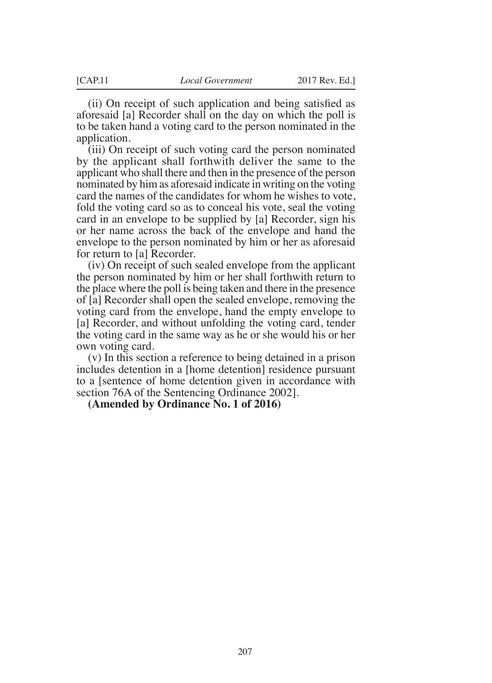(ii) On receipt of such application and being satisfed as aforesaid [a] Recorder shall on the day on which the poll is to be taken hand a voting card to the person nominated in the application.

(iii) On receipt of such voting card the person nominated by the applicant shall forthwith deliver the same to the applicant who shall there and then in the presence of the person nominated by him as aforesaid indicate in writing on the voting card the names of the candidates for whom he wishes to vote, fold the voting card so as to conceal his vote, seal the voting card in an envelope to be supplied by [a] Recorder, sign his or her name across the back of the envelope and hand the envelope to the person nominated by him or her as aforesaid for return to [a] Recorder.

(iv) On receipt of such sealed envelope from the applicant the person nominated by him or her shall forthwith return to the place where the poll is being taken and there in the presence of [a] Recorder shall open the sealed envelope, removing the voting card from the envelope, hand the empty envelope to [a] Recorder, and without unfolding the voting card, tender the voting card in the same way as he or she would his or her own voting card.

(v) In this section a reference to being detained in a prison includes detention in a [home detention] residence pursuant to a [sentence of home detention given in accordance with section 76A of the Sentencing Ordinance 2002].

**(Amended by Ordinance No. 1 of 2016)**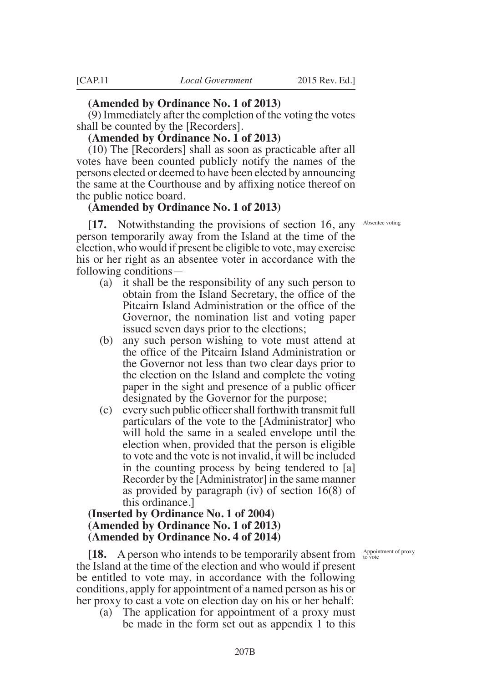### **(Amended by Ordinance No. 1 of 2013)**

(9) Immediately after the completion of the voting the votes shall be counted by the [Recorders].

**(Amended by Ordinance No. 1 of 2013)**

(10) The [Recorders] shall as soon as practicable after all votes have been counted publicly notify the names of the persons elected or deemed to have been elected by announcing the same at the Courthouse and by affxing notice thereof on the public notice board.

### **(Amended by Ordinance No. 1 of 2013)**

[17. Notwithstanding the provisions of section 16, any Absentee voting person temporarily away from the Island at the time of the election, who would if present be eligible to vote, may exercise his or her right as an absentee voter in accordance with the following conditions—

- (a) it shall be the responsibility of any such person to obtain from the Island Secretary, the office of the Pitcairn Island Administration or the office of the Governor, the nomination list and voting paper issued seven days prior to the elections;
- (b) any such person wishing to vote must attend at the offce of the Pitcairn Island Administration or the Governor not less than two clear days prior to the election on the Island and complete the voting paper in the sight and presence of a public officer designated by the Governor for the purpose;
- (c) every such public officer shall forthwith transmit full particulars of the vote to the [Administrator] who will hold the same in a sealed envelope until the election when, provided that the person is eligible to vote and the vote is not invalid, it will be included in the counting process by being tendered to [a] Recorder by the [Administrator] in the same manner as provided by paragraph (iv) of section 16(8) of this ordinance.]

# **(Inserted by Ordinance No. 1 of 2004) (Amended by Ordinance No. 1 of 2013) (Amended by Ordinance No. 4 of 2014)**

Appointment of proxy to vote

**[18.** A person who intends to be temporarily absent from the Island at the time of the election and who would if present be entitled to vote may, in accordance with the following conditions, apply for appointment of a named person as his or her proxy to cast a vote on election day on his or her behalf:

(a) The application for appointment of a proxy must be made in the form set out as appendix 1 to this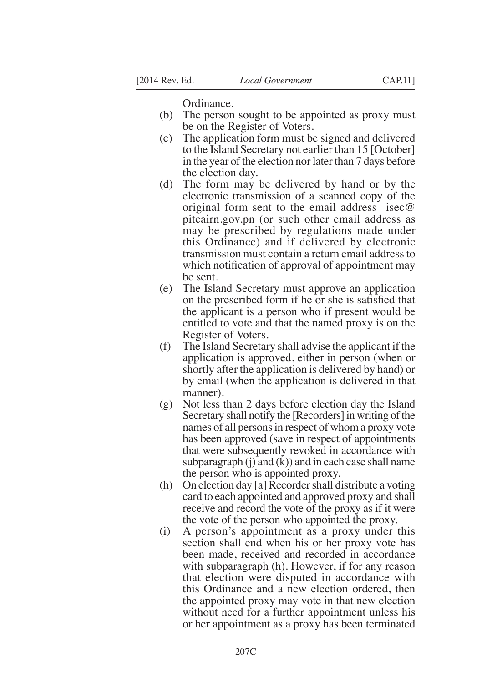Ordinance.

- (b) The person sought to be appointed as proxy must be on the Register of Voters.
- (c) The application form must be signed and delivered to the Island Secretary not earlier than 15 [October] in the year of the election nor later than 7 days before the election day.
- (d) The form may be delivered by hand or by the electronic transmission of a scanned copy of the original form sent to the email address isec@ pitcairn.gov.pn (or such other email address as may be prescribed by regulations made under this Ordinance) and if delivered by electronic transmission must contain a return email address to which notifcation of approval of appointment may be sent.
- (e) The Island Secretary must approve an application on the prescribed form if he or she is satisfed that the applicant is a person who if present would be entitled to vote and that the named proxy is on the Register of Voters.
- (f) The Island Secretary shall advise the applicant if the application is approved, either in person (when or shortly after the application is delivered by hand) or by email (when the application is delivered in that manner).
- (g) Not less than 2 days before election day the Island Secretary shall notify the [Recorders] in writing of the names of all persons in respect of whom a proxy vote has been approved (save in respect of appointments that were subsequently revoked in accordance with subparagraph  $(i)$  and  $(k)$ ) and in each case shall name the person who is appointed proxy.
- (h) On election day [a] Recorder shall distribute a voting card to each appointed and approved proxy and shall receive and record the vote of the proxy as if it were the vote of the person who appointed the proxy.
- (i) A person's appointment as a proxy under this section shall end when his or her proxy vote has been made, received and recorded in accordance with subparagraph (h). However, if for any reason that election were disputed in accordance with this Ordinance and a new election ordered, then the appointed proxy may vote in that new election without need for a further appointment unless his or her appointment as a proxy has been terminated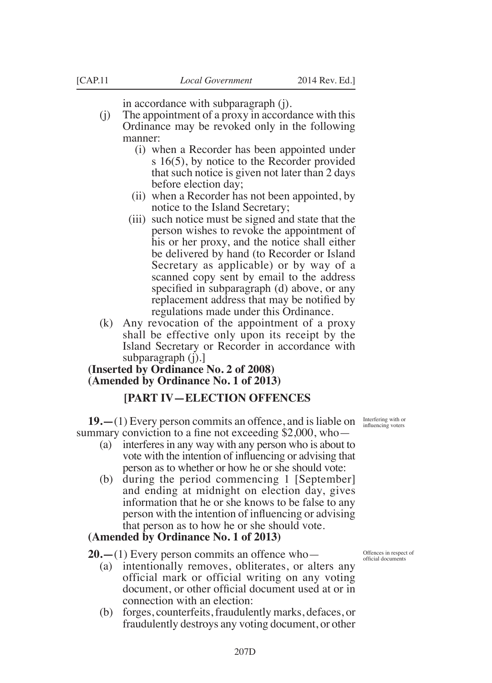in accordance with subparagraph (j).

- (j) The appointment of a proxy in accordance with this Ordinance may be revoked only in the following manner:
	- (i) when a Recorder has been appointed under s 16(5), by notice to the Recorder provided that such notice is given not later than 2 days before election day;
	- (ii) when a Recorder has not been appointed, by notice to the Island Secretary;
	- (iii) such notice must be signed and state that the person wishes to revoke the appointment of his or her proxy, and the notice shall either be delivered by hand (to Recorder or Island Secretary as applicable) or by way of a scanned copy sent by email to the address specifed in subparagraph (d) above, or any replacement address that may be notifed by regulations made under this Ordinance.
- (k) Any revocation of the appointment of a proxy shall be effective only upon its receipt by the Island Secretary or Recorder in accordance with subparagraph (j).]

# **(Inserted by Ordinance No. 2 of 2008) (Amended by Ordinance No. 1 of 2013)**

# **[PART IV—ELECTION OFFENCES**

**19.**—(1) Every person commits an offence, and is liable on limituancing voters summary conviction to a fine not exceeding  $$2,000$ , who-

- (a) interferes in any way with any person who is about to vote with the intention of infuencing or advising that person as to whether or how he or she should vote:
- (b) during the period commencing 1 [September] and ending at midnight on election day, gives information that he or she knows to be false to any person with the intention of infuencing or advising that person as to how he or she should vote.

# **(Amended by Ordinance No. 1 of 2013)**

**20.—**(1) Every person commits an offence who—

- (a) intentionally removes, obliterates, or alters any official mark or official writing on any voting document, or other official document used at or in connection with an election:
- (b) forges, counterfeits, fraudulently marks, defaces, or fraudulently destroys any voting document, or other

Offences in respect of official documents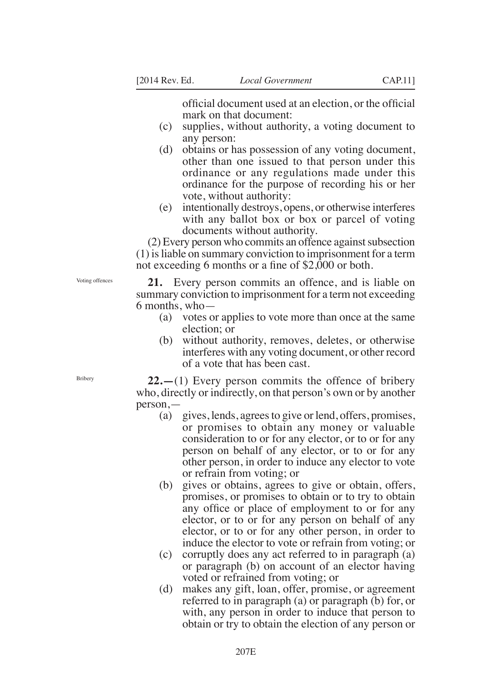offcial document used at an election, or the offcial mark on that document:

- (c) supplies, without authority, a voting document to any person:
- (d) obtains or has possession of any voting document, other than one issued to that person under this ordinance or any regulations made under this ordinance for the purpose of recording his or her vote, without authority:
- (e) intentionally destroys, opens, or otherwise interferes with any ballot box or box or parcel of voting documents without authority.

(2) Every person who commits an offence against subsection (1) is liable on summary conviction to imprisonment for a term not exceeding 6 months or a fine of \$2,000 or both.

**21.** Every person commits an offence, and is liable on summary conviction to imprisonment for a term not exceeding 6 months, who—

- (a) votes or applies to vote more than once at the same election; or
- (b) without authority, removes, deletes, or otherwise interferes with any voting document, or other record of a vote that has been cast.

**22.—**(1) Every person commits the offence of bribery who, directly or indirectly, on that person's own or by another person,—

- (a) gives, lends, agrees to give or lend, offers, promises, or promises to obtain any money or valuable consideration to or for any elector, or to or for any person on behalf of any elector, or to or for any other person, in order to induce any elector to vote or refrain from voting; or
- (b) gives or obtains, agrees to give or obtain, offers, promises, or promises to obtain or to try to obtain any office or place of employment to or for any elector, or to or for any person on behalf of any elector, or to or for any other person, in order to induce the elector to vote or refrain from voting; or
- (c) corruptly does any act referred to in paragraph (a) or paragraph (b) on account of an elector having voted or refrained from voting; or
- (d) makes any gift, loan, offer, promise, or agreement referred to in paragraph (a) or paragraph (b) for, or with, any person in order to induce that person to obtain or try to obtain the election of any person or

Voting offences

Bribery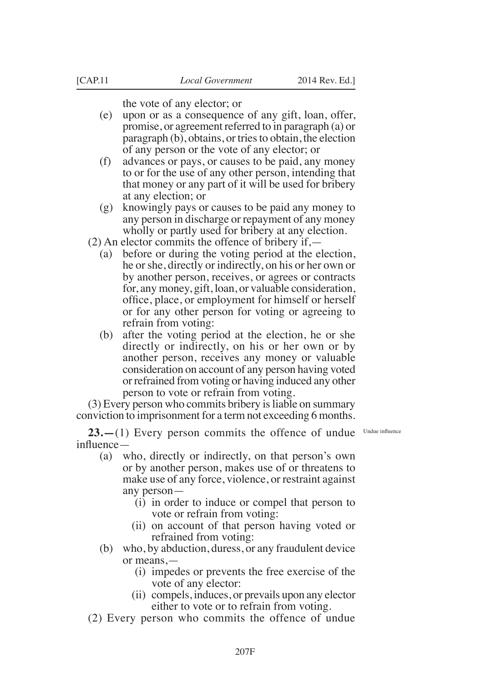the vote of any elector; or

- (e) upon or as a consequence of any gift, loan, offer, promise, or agreement referred to in paragraph (a) or paragraph (b), obtains, or tries to obtain, the election of any person or the vote of any elector; or
- (f) advances or pays, or causes to be paid, any money to or for the use of any other person, intending that that money or any part of it will be used for bribery at any election; or
- (g) knowingly pays or causes to be paid any money to any person in discharge or repayment of any money wholly or partly used for bribery at any election.
- $(2)$  An elector commits the offence of bribery if,—
	- (a) before or during the voting period at the election, he or she, directly or indirectly, on his or her own or by another person, receives, or agrees or contracts for, any money, gift, loan, or valuable consideration, offce, place, or employment for himself or herself or for any other person for voting or agreeing to refrain from voting:
	- (b) after the voting period at the election, he or she directly or indirectly, on his or her own or by another person, receives any money or valuable consideration on account of any person having voted or refrained from voting or having induced any other person to vote or refrain from voting.

(3) Every person who commits bribery is liable on summary conviction to imprisonment for a term not exceeding 6 months.

**23.** - (1) Every person commits the offence of undue Undue influence infuence—

- (a) who, directly or indirectly, on that person's own or by another person, makes use of or threatens to make use of any force, violence, or restraint against any person—
	- (i) in order to induce or compel that person to vote or refrain from voting:
	- (ii) on account of that person having voted or refrained from voting:
- (b) who, by abduction, duress, or any fraudulent device or means,—
	- (i) impedes or prevents the free exercise of the vote of any elector:
	- (ii) compels, induces, or prevails upon any elector either to vote or to refrain from voting.
- (2) Every person who commits the offence of undue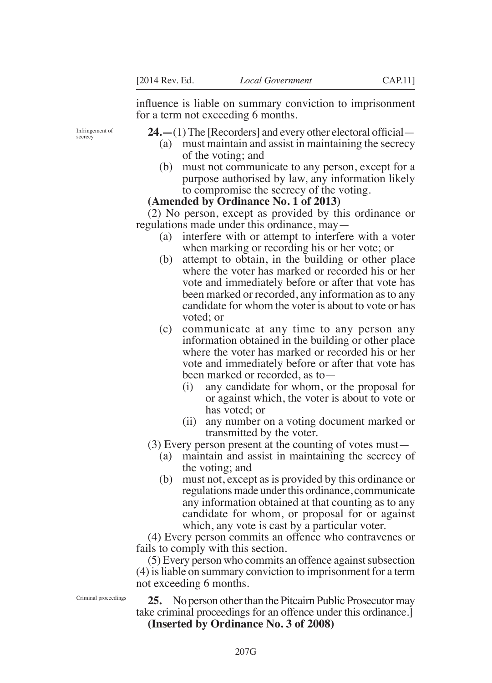infuence is liable on summary conviction to imprisonment for a term not exceeding 6 months.

Infringement of secrecy

- $24.$ — $(1)$  The [Recorders] and every other electoral official—
	- (a) must maintain and assist in maintaining the secrecy of the voting; and
	- (b) must not communicate to any person, except for a purpose authorised by law, any information likely to compromise the secrecy of the voting.

### **(Amended by Ordinance No. 1 of 2013)**

(2) No person, except as provided by this ordinance or regulations made under this ordinance, may—

- (a) interfere with or attempt to interfere with a voter when marking or recording his or her vote; or
- (b) attempt to obtain, in the building or other place where the voter has marked or recorded his or her vote and immediately before or after that vote has been marked or recorded, any information as to any candidate for whom the voter is about to vote or has voted; or
- (c) communicate at any time to any person any information obtained in the building or other place where the voter has marked or recorded his or her vote and immediately before or after that vote has been marked or recorded, as to—
	- (i) any candidate for whom, or the proposal for or against which, the voter is about to vote or has voted; or
	- (ii) any number on a voting document marked or transmitted by the voter.
- (3) Every person present at the counting of votes must—
	- (a) maintain and assist in maintaining the secrecy of the voting; and
	- (b) must not, except as is provided by this ordinance or regulations made under this ordinance, communicate any information obtained at that counting as to any candidate for whom, or proposal for or against which, any vote is cast by a particular voter.

(4) Every person commits an offence who contravenes or fails to comply with this section.

(5) Every person who commits an offence against subsection (4) is liable on summary conviction to imprisonment for a term not exceeding 6 months.

Criminal proceedings

**25.** No person other than the Pitcairn Public Prosecutor may take criminal proceedings for an offence under this ordinance.] **(Inserted by Ordinance No. 3 of 2008)**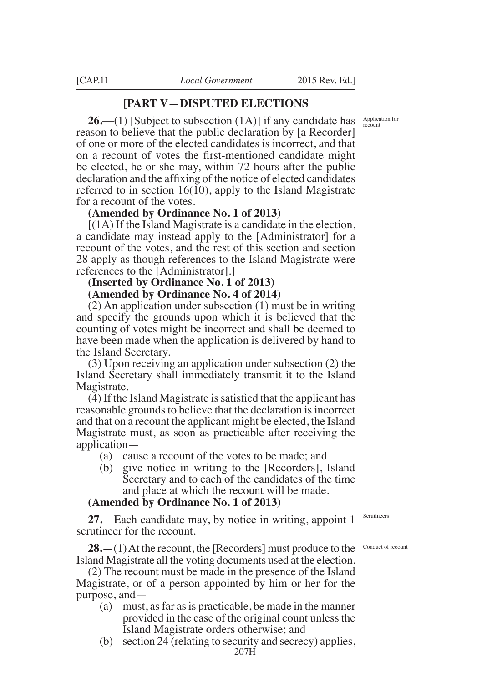## **[PART V—DISPUTED ELECTIONS**

**26.** (1) [Subject to subsection (1A)] if any candidate has Application for reason to believe that the public declaration by [a Recorder] of one or more of the elected candidates is incorrect, and that on a recount of votes the frst-mentioned candidate might be elected, he or she may, within 72 hours after the public declaration and the affxing of the notice of elected candidates referred to in section 16(10), apply to the Island Magistrate for a recount of the votes.

### **(Amended by Ordinance No. 1 of 2013)**

 $[(1A)$  If the Island Magistrate is a candidate in the election, a candidate may instead apply to the [Administrator] for a recount of the votes, and the rest of this section and section 28 apply as though references to the Island Magistrate were references to the [Administrator].]

# **(Inserted by Ordinance No. 1 of 2013)**

## **(Amended by Ordinance No. 4 of 2014)**

(2) An application under subsection (1) must be in writing and specify the grounds upon which it is believed that the counting of votes might be incorrect and shall be deemed to have been made when the application is delivered by hand to the Island Secretary.

(3) Upon receiving an application under subsection (2) the Island Secretary shall immediately transmit it to the Island Magistrate.

(4) If the Island Magistrate issatisfed that the applicant has reasonable grounds to believe that the declaration is incorrect and that on a recount the applicant might be elected, the Island Magistrate must, as soon as practicable after receiving the application—

- (a) cause a recount of the votes to be made; and
- (b) give notice in writing to the [Recorders], Island Secretary and to each of the candidates of the time and place at which the recount will be made.

# **(Amended by Ordinance No. 1 of 2013)**

**27.** Each candidate may, by notice in writing, appoint 1 scrutineer for the recount.

 ${\bf 28.} {\bf -} (1)$  At the recount, the [Recorders] must produce to the  $^{-$ Conduct of recount Island Magistrate all the voting documents used at the election.

(2) The recount must be made in the presence of the Island Magistrate, or of a person appointed by him or her for the purpose, and—

- (a) must, as far as is practicable, be made in the manner provided in the case of the original count unless the Island Magistrate orders otherwise; and
- (b) section 24 (relating to security and secrecy) applies,

Scrutineers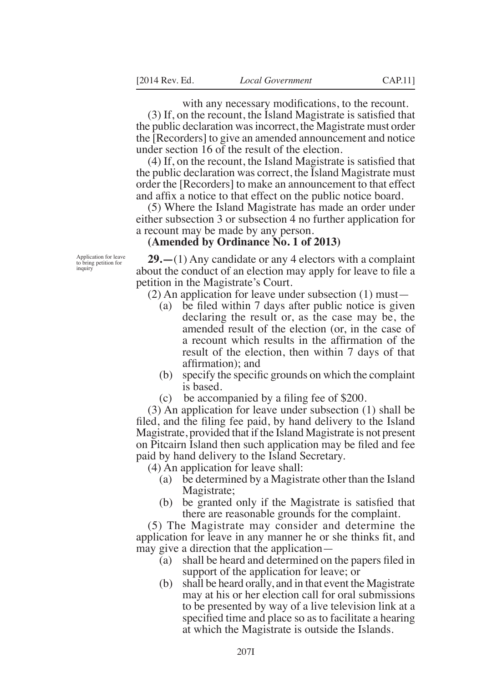with any necessary modifications, to the recount.

(3) If, on the recount, the Island Magistrate is satisfed that the public declaration was incorrect, the Magistrate must order the [Recorders] to give an amended announcement and notice under section 16 of the result of the election.

(4) If, on the recount, the Island Magistrate is satisfed that the public declaration was correct, the Island Magistrate must order the [Recorders] to make an announcement to that effect and affx a notice to that effect on the public notice board.

(5) Where the Island Magistrate has made an order under either subsection 3 or subsection 4 no further application for a recount may be made by any person.

### **(Amended by Ordinance No. 1 of 2013)**

Application for leave to bring petition for inquiry

**29.—**(1) Any candidate or any 4 electors with a complaint about the conduct of an election may apply for leave to fle a petition in the Magistrate's Court.

- (2) An application for leave under subsection (1) must—
	- (a) be fled within 7 days after public notice is given declaring the result or, as the case may be, the amended result of the election (or, in the case of a recount which results in the affrmation of the result of the election, then within 7 days of that affrmation); and
	- (b) specify the specifc grounds on which the complaint is based.
	- (c) be accompanied by a filing fee of \$200.

(3) An application for leave under subsection (1) shall be fled, and the fling fee paid, by hand delivery to the Island Magistrate, provided that if the Island Magistrate is not present on Pitcairn Island then such application may be fled and fee paid by hand delivery to the Island Secretary.

(4) An application for leave shall:

- (a) be determined by a Magistrate other than the Island Magistrate;
- (b) be granted only if the Magistrate is satisfed that there are reasonable grounds for the complaint.

(5) The Magistrate may consider and determine the application for leave in any manner he or she thinks ft, and may give a direction that the application—

- (a) shall be heard and determined on the papers fled in support of the application for leave; or
- (b) shall be heard orally, and in that event the Magistrate may at his or her election call for oral submissions to be presented by way of a live television link at a specifed time and place so as to facilitate a hearing at which the Magistrate is outside the Islands.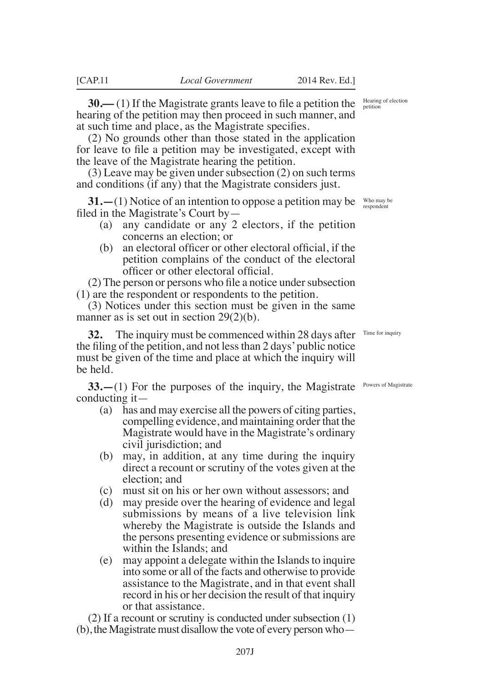**30.––** (1) If the Magistrate grants leave to fle a petition the hearing of the petition may then proceed in such manner, and at such time and place, as the Magistrate specifes.

(2) No grounds other than those stated in the application for leave to fle a petition may be investigated, except with the leave of the Magistrate hearing the petition.

(3) Leave may be given under subsection (2) on such terms and conditions (if any) that the Magistrate considers just.

**31.**  $-(1)$  Notice of an intention to oppose a petition may be  $\frac{W_{\text{bo may be}}}{\text{resondent}}$ fled in the Magistrate's Court by—

- (a) any candidate or any 2 electors, if the petition concerns an election; or
- (b) an electoral officer or other electoral official, if the petition complains of the conduct of the electoral offcer or other electoral offcial.

 $(2)$  The person or persons who file a notice under subsection (1) are the respondent or respondents to the petition.

(3) Notices under this section must be given in the same manner as is set out in section 29(2)(b).

**32.** The inquiry must be commenced within 28 days after Time for inquiry the fling of the petition, and not lessthan 2 days'public notice must be given of the time and place at which the inquiry will be held.

**33.** - (1) For the purposes of the inquiry, the Magistrate Powers of Magistrate conducting it—

- (a) has and may exercise all the powers of citing parties, compelling evidence, and maintaining order that the Magistrate would have in the Magistrate's ordinary civil jurisdiction; and
- (b) may, in addition, at any time during the inquiry direct a recount or scrutiny of the votes given at the election; and
- (c) must sit on his or her own without assessors; and
- (d) may preside over the hearing of evidence and legal submissions by means of a live television link whereby the Magistrate is outside the Islands and the persons presenting evidence or submissions are within the Islands; and
- (e) may appoint a delegate within the Islands to inquire into some or all of the facts and otherwise to provide assistance to the Magistrate, and in that event shall record in his or her decision the result of that inquiry or that assistance.

(2) If a recount or scrutiny is conducted under subsection (1) (b), the Magistrate must disallow the vote of every person who—

respondent

Hearing of election petition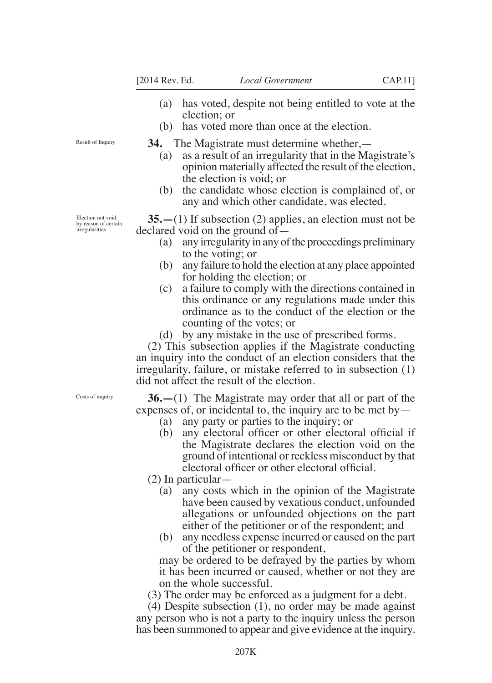- (a) has voted, despite not being entitled to vote at the election; or
- (b) has voted more than once at the election.

Result of Inquiry

**34.** The Magistrate must determine whether,—

- (a) as a result of an irregularity that in the Magistrate's opinion materially affected the result of the election, the election is void; or
- (b) the candidate whose election is complained of, or any and which other candidate, was elected.

**35.—**(1) If subsection (2) applies, an election must not be declared void on the ground of—

- (a) any irregularity in any of the proceedings preliminary to the voting; or
- (b) any failure to hold the election at any place appointed for holding the election; or
- (c) a failure to comply with the directions contained in this ordinance or any regulations made under this ordinance as to the conduct of the election or the counting of the votes; or
- (d) by any mistake in the use of prescribed forms.

(2) This subsection applies if the Magistrate conducting an inquiry into the conduct of an election considers that the irregularity, failure, or mistake referred to in subsection (1) did not affect the result of the election.

**36.—**(1) The Magistrate may order that all or part of the expenses of, or incidental to, the inquiry are to be met by  $-$ 

- (a) any party or parties to the inquiry; or
- (b) any electoral officer or other electoral official if the Magistrate declares the election void on the ground of intentional or reckless misconduct by that electoral officer or other electoral official.
- (2) In particular—
	- (a) any costs which in the opinion of the Magistrate have been caused by vexatious conduct, unfounded allegations or unfounded objections on the part either of the petitioner or of the respondent; and
	- (b) any needless expense incurred or caused on the part of the petitioner or respondent,

may be ordered to be defrayed by the parties by whom it has been incurred or caused, whether or not they are on the whole successful.

(3) The order may be enforced as a judgment for a debt.

(4) Despite subsection (1), no order may be made against any person who is not a party to the inquiry unless the person has been summoned to appear and give evidence at the inquiry.

by reason of certain irregularities

Election not void

Costs of inquiry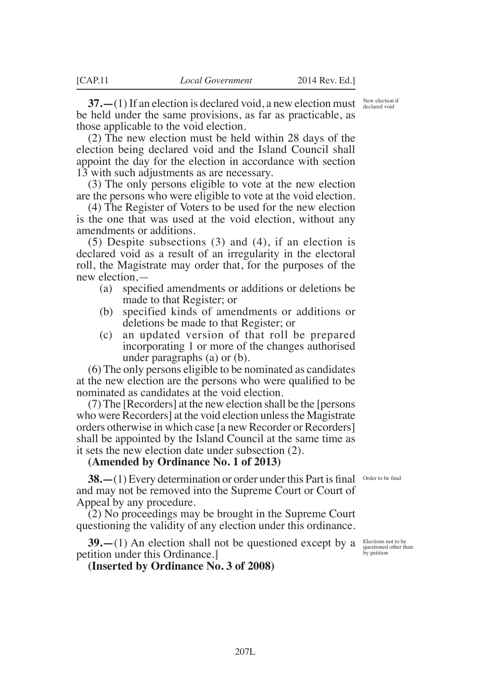**37.—**(1) If an election is declared void, a new election must be held under the same provisions, as far as practicable, as those applicable to the void election.

(2) The new election must be held within 28 days of the election being declared void and the Island Council shall appoint the day for the election in accordance with section 13 with such adjustments as are necessary.

(3) The only persons eligible to vote at the new election are the persons who were eligible to vote at the void election.

(4) The Register of Voters to be used for the new election is the one that was used at the void election, without any amendments or additions.

(5) Despite subsections (3) and (4), if an election is declared void as a result of an irregularity in the electoral roll, the Magistrate may order that, for the purposes of the new election,—

- (a) specifed amendments or additions or deletions be made to that Register; or
- (b) specified kinds of amendments or additions or deletions be made to that Register; or
- (c) an updated version of that roll be prepared incorporating 1 or more of the changes authorised under paragraphs (a) or (b).

(6) The only persons eligible to be nominated as candidates at the new election are the persons who were qualifed to be nominated as candidates at the void election.

(7) The [Recorders] at the new election shall be the [persons who were Recorders] at the void election unless the Magistrate orders otherwise in which case [a new Recorder or Recorders] shall be appointed by the Island Council at the same time as it sets the new election date under subsection (2).

## **(Amended by Ordinance No. 1 of 2013)**

**38.**—(1) Every determination or order under this Part is final <sup>Order to be final</sup> and may not be removed into the Supreme Court or Court of Appeal by any procedure.

(2) No proceedings may be brought in the Supreme Court questioning the validity of any election under this ordinance.

**39.** - (1) An election shall not be questioned except by a Elections not to be petition under this Ordinance.]

**(Inserted by Ordinance No. 3 of 2008)**

questioned other than by petition

New election if declared void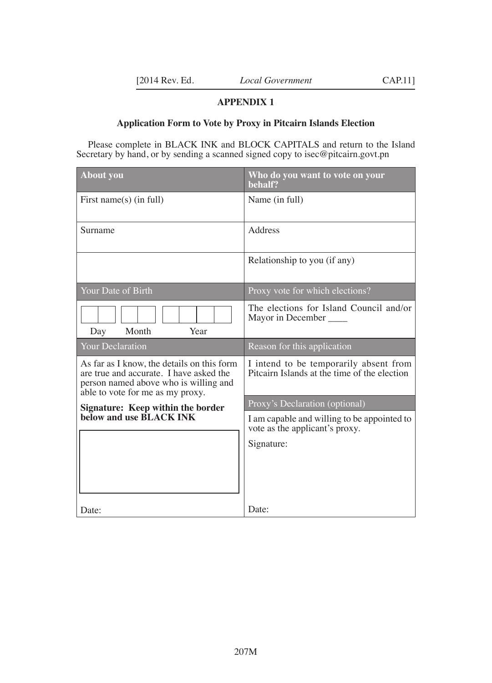# **APPENDIX 1**

# **Application Form to Vote by Proxy in Pitcairn Islands Election**

Please complete in BLACK INK and BLOCK CAPITALS and return to the Island Secretary by hand, or by sending a scanned signed copy to isec@pitcairn.govt.pn

| <b>About you</b>                                                                                                                                                   | Who do you want to vote on your<br>behalf?                                                  |  |
|--------------------------------------------------------------------------------------------------------------------------------------------------------------------|---------------------------------------------------------------------------------------------|--|
| First name(s) (in full)                                                                                                                                            | Name (in full)                                                                              |  |
| Surname                                                                                                                                                            | Address                                                                                     |  |
|                                                                                                                                                                    | Relationship to you (if any)                                                                |  |
| Your Date of Birth                                                                                                                                                 | Proxy vote for which elections?                                                             |  |
| Month<br>Year<br>Day                                                                                                                                               | The elections for Island Council and/or<br>Mayor in December                                |  |
| <b>Your Declaration</b>                                                                                                                                            | Reason for this application                                                                 |  |
| As far as I know, the details on this form<br>are true and accurate. I have asked the<br>person named above who is willing and<br>able to vote for me as my proxy. | I intend to be temporarily absent from<br>Pitcairn Islands at the time of the election      |  |
| Signature: Keep within the border                                                                                                                                  | Proxy's Declaration (optional)                                                              |  |
| below and use BLACK INK                                                                                                                                            | I am capable and willing to be appointed to<br>vote as the applicant's proxy.<br>Signature: |  |
| Date:                                                                                                                                                              | Date:                                                                                       |  |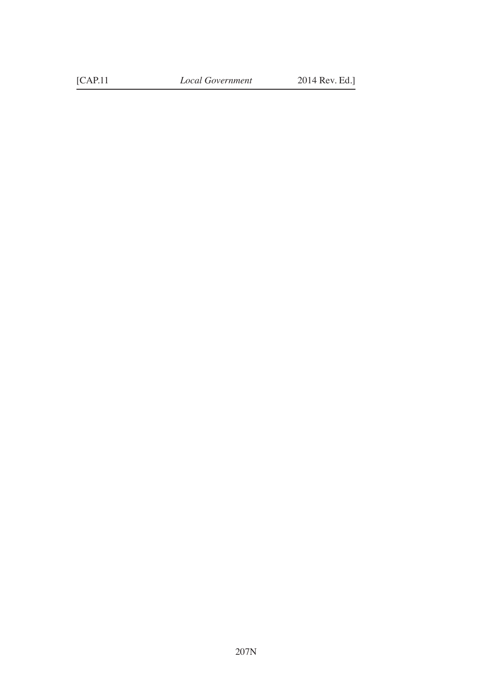[CAP.11 *Local Government* 2014 Rev. Ed.]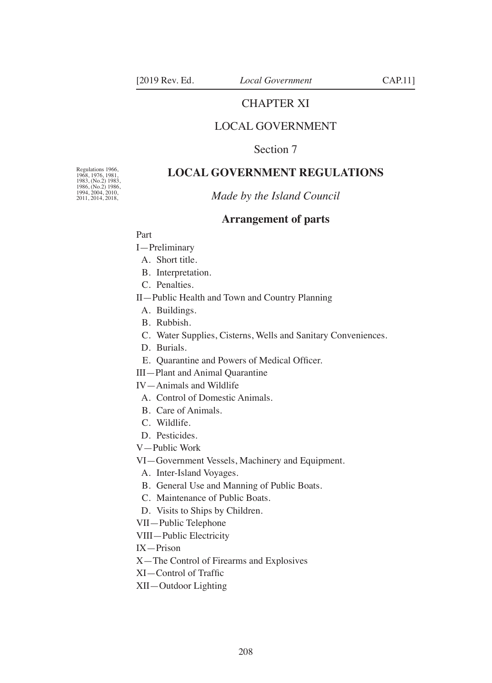# CHAPTER XI

# LOCAL GOVERNMENT

# Section 7

**LOCAL GOVERNMENT REGULATIONS**

*Made by the Island Council*

## **Arrangement of parts**

#### Part

Regulations 1966, 1968, 1976, 1981, 1983, (No.2) 1983, 1986, (No.2) 1986, 1994, 2004, 2010, 2011, 2014, 2018,

- I—Preliminary
	- A. Short title.
	- B. Interpretation.
- C. Penalties.
- II—Public Health and Town and Country Planning
	- A. Buildings.
	- B. Rubbish.
	- C. Water Supplies, Cisterns, Wells and Sanitary Conveniences.
- D. Burials.
- E. Quarantine and Powers of Medical Officer.
- III—Plant and Animal Quarantine
- IV—Animals and Wildlife
	- A. Control of Domestic Animals.
	- B. Care of Animals.
	- C. Wildlife.
- D. Pesticides.
- V—Public Work
- VI—Government Vessels, Machinery and Equipment.
	- A. Inter-Island Voyages.
	- B. General Use and Manning of Public Boats.
	- C. Maintenance of Public Boats.
- D. Visits to Ships by Children.
- VII—Public Telephone
- VIII—Public Electricity
- IX—Prison
- X—The Control of Firearms and Explosives
- XI-Control of Traffic
- XII—Outdoor Lighting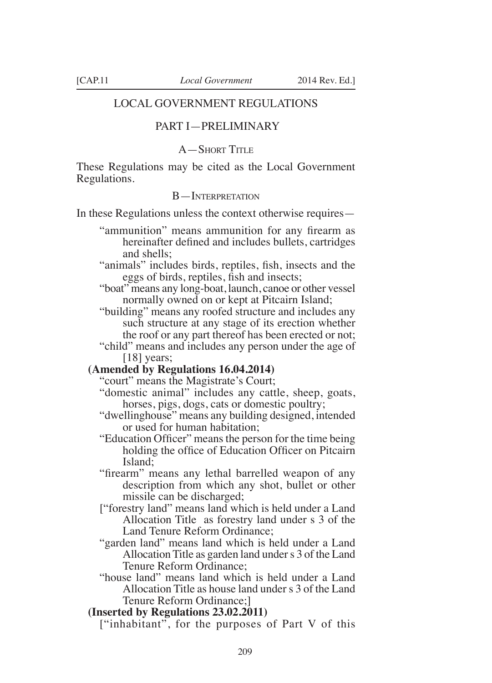## LOCAL GOVERNMENT REGULATIONS

# PART I—PRELIMINARY

# A-SHORT TITLE

These Regulations may be cited as the Local Government Regulations.

### B—INTERPRETATION

In these Regulations unless the context otherwise requires—

- "ammunition" means ammunition for any frearm as hereinafter defned and includes bullets, cartridges and shells;
- "animals" includes birds, reptiles, fsh, insects and the eggs of birds, reptiles, fsh and insects;
- "boat" means any long-boat, launch, canoe or other vessel normally owned on or kept at Pitcairn Island;
- "building" means any roofed structure and includes any such structure at any stage of its erection whether the roof or any part thereof has been erected or not;
- "child" means and includes any person under the age of [18] years;

### **(Amended by Regulations 16.04.2014)**

"court" means the Magistrate's Court;

- "domestic animal" includes any cattle, sheep, goats, horses, pigs, dogs, cats or domestic poultry;
- "dwellinghouse" means any building designed, intended or used for human habitation;
- "Education Officer" means the person for the time being holding the office of Education Officer on Pitcairn Island;
- "frearm" means any lethal barrelled weapon of any description from which any shot, bullet or other missile can be discharged;
- ["forestry land" means land which is held under a Land Allocation Title as forestry land under s 3 of the Land Tenure Reform Ordinance;
- "garden land" means land which is held under a Land Allocation Title as garden land under s 3 of the Land Tenure Reform Ordinance;
- "house land" means land which is held under a Land Allocation Title as house land under s 3 of the Land Tenure Reform Ordinance;]

#### **(Inserted by Regulations 23.02.2011)**

["inhabitant", for the purposes of Part V of this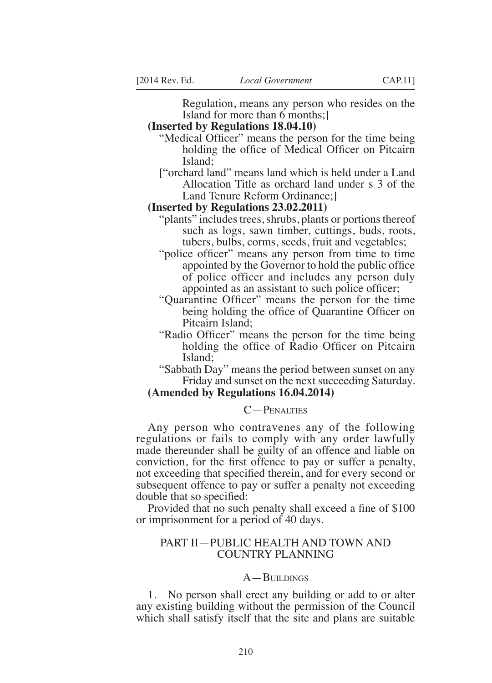Regulation, means any person who resides on the Island for more than 6 months;]

#### **(Inserted by Regulations 18.04.10)**

- "Medical Officer" means the person for the time being holding the office of Medical Officer on Pitcairn Island;
- ["orchard land" means land which is held under a Land Allocation Title as orchard land under s 3 of the Land Tenure Reform Ordinance;]

### **(Inserted by Regulations 23.02.2011)**

- "plants" includes trees, shrubs, plants or portions thereof such as logs, sawn timber, cuttings, buds, roots, tubers, bulbs, corms, seeds, fruit and vegetables;
- "police officer" means any person from time to time appointed by the Governor to hold the public office of police officer and includes any person duly appointed as an assistant to such police officer;
- "Quarantine Officer" means the person for the time being holding the office of Quarantine Officer on Pitcairn Island;
- "Radio Officer" means the person for the time being holding the office of Radio Officer on Pitcairn Island;
- "Sabbath Day" means the period between sunset on any Friday and sunset on the next succeeding Saturday.

### **(Amended by Regulations 16.04.2014)**

## C—PENALTIES

Any person who contravenes any of the following regulations or fails to comply with any order lawfully made thereunder shall be guilty of an offence and liable on conviction, for the frst offence to pay or suffer a penalty, not exceeding that specifed therein, and for every second or subsequent offence to pay or suffer a penalty not exceeding double that so specifed:

Provided that no such penalty shall exceed a fine of \$100 or imprisonment for a period of 40 days.

# PART II—PUBLIC HEALTH AND TOWN AND COUNTRY PLANNING

### A—BUILDINGS

1. No person shall erect any building or add to or alter any existing building without the permission of the Council which shall satisfy itself that the site and plans are suitable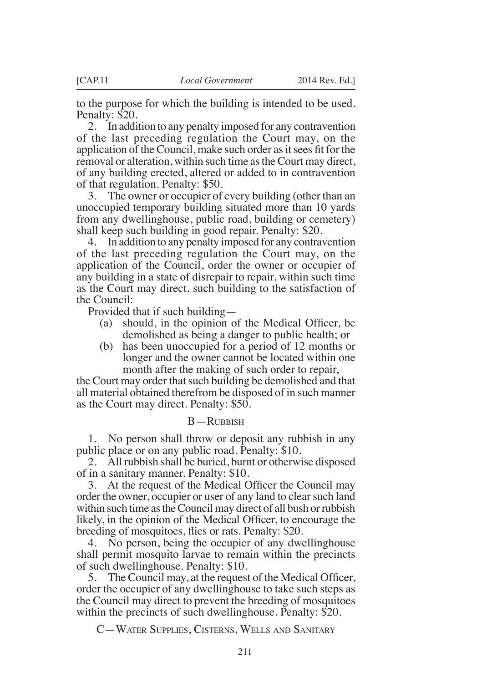to the purpose for which the building is intended to be used. Penalty: \$20.

2. In addition to any penalty imposed for any contravention of the last preceding regulation the Court may, on the application of the Council, make such order as it sees fit for the removal or alteration, within such time as the Court may direct, of any building erected, altered or added to in contravention of that regulation. Penalty: \$50.

3. The owner or occupier of every building (other than an unoccupied temporary building situated more than 10 yards from any dwellinghouse, public road, building or cemetery) shall keep such building in good repair. Penalty: \$20.

4. In addition to any penalty imposed for any contravention of the last preceding regulation the Court may, on the application of the Council, order the owner or occupier of any building in a state of disrepair to repair, within such time as the Court may direct, such building to the satisfaction of the Council:

Provided that if such building—

- (a) should, in the opinion of the Medical Officer, be demolished as being a danger to public health; or
- (b) has been unoccupied for a period of 12 months or longer and the owner cannot be located within one month after the making of such order to repair,

the Court may order that such building be demolished and that all material obtained therefrom be disposed of in such manner as the Court may direct. Penalty: \$50.

## B—RUBBISH

1. No person shall throw or deposit any rubbish in any public place or on any public road. Penalty: \$10.

2. All rubbish shall be buried, burnt or otherwise disposed of in a sanitary manner. Penalty: \$10.

3. At the request of the Medical Officer the Council may order the owner, occupier or user of any land to clear such land within such time as the Council may direct of all bush or rubbish likely, in the opinion of the Medical Officer, to encourage the breeding of mosquitoes, flies or rats. Penalty: \$20.

4. No person, being the occupier of any dwellinghouse shall permit mosquito larvae to remain within the precincts of such dwellinghouse. Penalty: \$10.

5. The Council may, at the request of the Medical Officer, order the occupier of any dwellinghouse to take such steps as the Council may direct to prevent the breeding of mosquitoes within the precincts of such dwellinghouse. Penalty: \$20.

C—WATER SUPPLIES, CISTERNS, WELLS AND SANITARY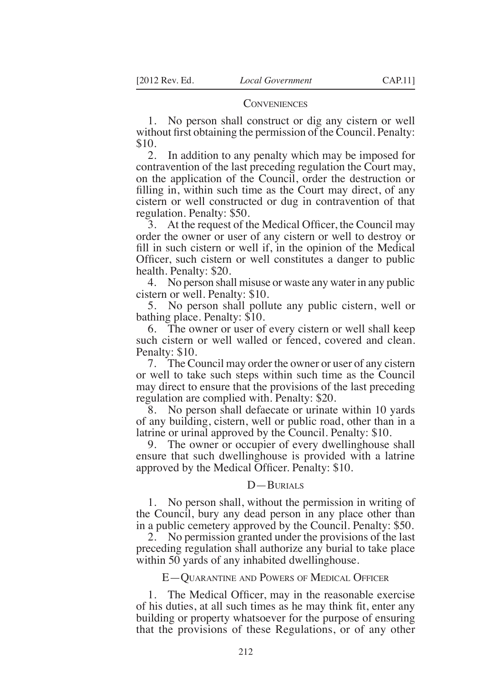#### **CONVENIENCES**

1. No person shall construct or dig any cistern or well without frst obtaining the permission of the Council. Penalty: \$10.

2. In addition to any penalty which may be imposed for contravention of the last preceding regulation the Court may, on the application of the Council, order the destruction or flling in, within such time as the Court may direct, of any cistern or well constructed or dug in contravention of that regulation. Penalty: \$50.

3. At the request of the Medical Offcer, the Council may order the owner or user of any cistern or well to destroy or fll in such cistern or well if, in the opinion of the Medical Offcer, such cistern or well constitutes a danger to public health. Penalty: \$20.

4. No person shall misuse or waste any water in any public cistern or well. Penalty: \$10.

5. No person shall pollute any public cistern, well or bathing place. Penalty: \$10.

6. The owner or user of every cistern or well shall keep such cistern or well walled or fenced, covered and clean. Penalty: \$10.

7. The Council may order the owner or user of any cistern or well to take such steps within such time as the Council may direct to ensure that the provisions of the last preceding regulation are complied with. Penalty: \$20.

8. No person shall defaecate or urinate within 10 yards of any building, cistern, well or public road, other than in a latrine or urinal approved by the Council. Penalty: \$10.

9. The owner or occupier of every dwellinghouse shall ensure that such dwellinghouse is provided with a latrine approved by the Medical Officer. Penalty: \$10.

### D—BURIALS

1. No person shall, without the permission in writing of the Council, bury any dead person in any place other than in a public cemetery approved by the Council. Penalty: \$50.

2. No permission granted under the provisions of the last preceding regulation shall authorize any burial to take place within 50 yards of any inhabited dwellinghouse.

E—QUARANTINE AND POWERS OF MEDICAL OFFICER

1. The Medical Offcer, may in the reasonable exercise of his duties, at all such times as he may think ft, enter any building or property whatsoever for the purpose of ensuring that the provisions of these Regulations, or of any other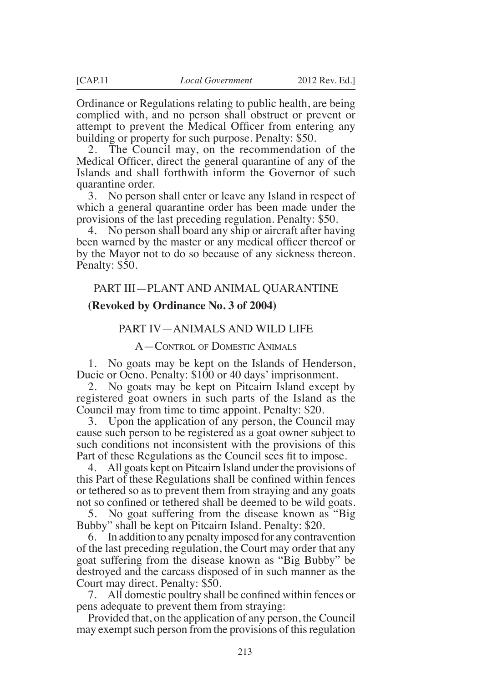Ordinance or Regulations relating to public health, are being complied with, and no person shall obstruct or prevent or attempt to prevent the Medical Officer from entering any building or property for such purpose. Penalty: \$50.

2. The Council may, on the recommendation of the Medical Officer, direct the general quarantine of any of the Islands and shall forthwith inform the Governor of such quarantine order.

3. No person shall enter or leave any Island in respect of which a general quarantine order has been made under the provisions of the last preceding regulation. Penalty: \$50.

4. No person shall board any ship or aircraft after having been warned by the master or any medical officer thereof or by the Mayor not to do so because of any sickness thereon. Penalty: \$50.

## PART III—PLANT AND ANIMAL QUARANTINE

## **(Revoked by Ordinance No. 3 of 2004)**

# PART IV—ANIMALS AND WILD LIFE

## A—CONTROL OF DOMESTIC ANIMALS

1. No goats may be kept on the Islands of Henderson, Ducie or Oeno. Penalty: \$100 or 40 days' imprisonment.

2. No goats may be kept on Pitcairn Island except by registered goat owners in such parts of the Island as the Council may from time to time appoint. Penalty: \$20.

3. Upon the application of any person, the Council may cause such person to be registered as a goat owner subject to such conditions not inconsistent with the provisions of this Part of these Regulations as the Council sees fit to impose.

4. All goats kept on Pitcairn Island under the provisions of this Part of these Regulations shall be confned within fences or tethered so as to prevent them from straying and any goats not so confned or tethered shall be deemed to be wild goats.

5. No goat suffering from the disease known as "Big Bubby" shall be kept on Pitcairn Island. Penalty: \$20.

6. In addition to any penalty imposed for any contravention of the last preceding regulation, the Court may order that any goat suffering from the disease known as "Big Bubby" be destroyed and the carcass disposed of in such manner as the Court may direct. Penalty: \$50.

7. All domestic poultry shall be confned within fences or pens adequate to prevent them from straying:

Provided that, on the application of any person, the Council may exempt such person from the provisions of this regulation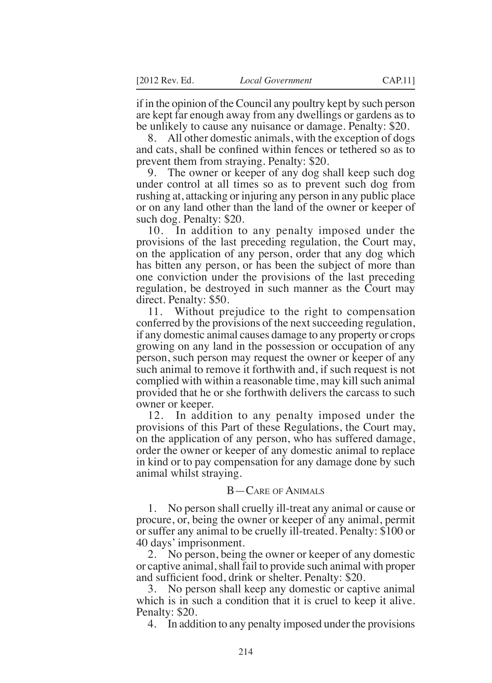if in the opinion of the Council any poultry kept by such person are kept far enough away from any dwellings or gardens as to be unlikely to cause any nuisance or damage. Penalty: \$20.

8. All other domestic animals, with the exception of dogs and cats, shall be confned within fences or tethered so as to prevent them from straying. Penalty: \$20.

9. The owner or keeper of any dog shall keep such dog under control at all times so as to prevent such dog from rushing at, attacking or injuring any person in any public place or on any land other than the land of the owner or keeper of such dog. Penalty: \$20.

10. In addition to any penalty imposed under the provisions of the last preceding regulation, the Court may, on the application of any person, order that any dog which has bitten any person, or has been the subject of more than one conviction under the provisions of the last preceding regulation, be destroyed in such manner as the Court may direct. Penalty: \$50.

11. Without prejudice to the right to compensation conferred by the provisions of the next succeeding regulation, if any domestic animal causes damage to any property or crops growing on any land in the possession or occupation of any person, such person may request the owner or keeper of any such animal to remove it forthwith and, if such request is not complied with within a reasonable time, may kill such animal provided that he or she forthwith delivers the carcass to such owner or keeper.

12. In addition to any penalty imposed under the provisions of this Part of these Regulations, the Court may, on the application of any person, who has suffered damage, order the owner or keeper of any domestic animal to replace in kind or to pay compensation for any damage done by such animal whilst straying.

## B—CARE OF ANIMALS

1. No person shall cruelly ill-treat any animal or cause or procure, or, being the owner or keeper of any animal, permit or suffer any animal to be cruelly ill-treated. Penalty: \$100 or 40 days' imprisonment.

2. No person, being the owner or keeper of any domestic or captive animal, shall fail to provide such animal with proper and sufficient food, drink or shelter. Penalty: \$20.

3. No person shall keep any domestic or captive animal which is in such a condition that it is cruel to keep it alive. Penalty: \$20.

4. In addition to any penalty imposed under the provisions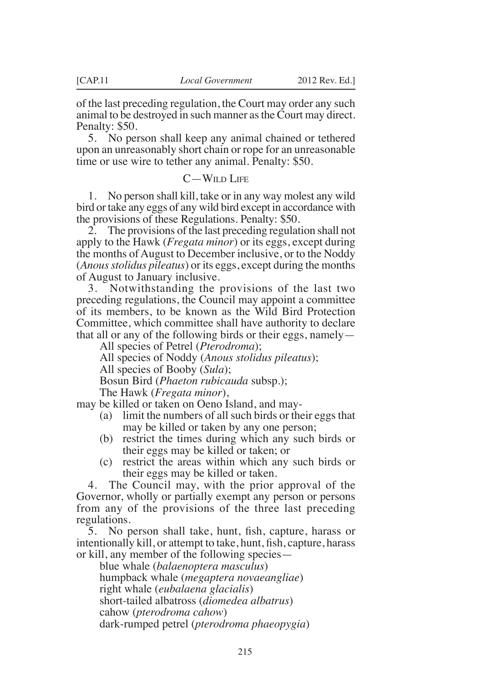of the last preceding regulation, the Court may order any such animal to be destroyed in such manner as the Court may direct. Penalty: \$50.

5. No person shall keep any animal chained or tethered upon an unreasonably short chain or rope for an unreasonable time or use wire to tether any animal. Penalty: \$50.

## C—WILD LIFE

1. No person shall kill, take or in any way molest any wild bird or take any eggs of any wild bird except in accordance with the provisions of these Regulations. Penalty: \$50.

2. The provisions of the last preceding regulation shall not apply to the Hawk (*Fregata minor*) or its eggs, except during the months of August to December inclusive, or to the Noddy (*Anous stolidus pileatus*) or its eggs, except during the months of August to January inclusive.

3. Notwithstanding the provisions of the last two preceding regulations, the Council may appoint a committee of its members, to be known as the Wild Bird Protection Committee, which committee shall have authority to declare that all or any of the following birds or their eggs, namely—

All species of Petrel (*Pterodroma*);

All species of Noddy (*Anous stolidus pileatus*);

All species of Booby (*Sula*);

Bosun Bird (*Phaeton rubicauda* subsp.);

The Hawk (*Fregata minor*),

may be killed or taken on Oeno Island, and may-

- (a) limit the numbers of all such birds or their eggs that may be killed or taken by any one person;
- (b) restrict the times during which any such birds or their eggs may be killed or taken; or
- (c) restrict the areas within which any such birds or their eggs may be killed or taken.

4. The Council may, with the prior approval of the Governor, wholly or partially exempt any person or persons from any of the provisions of the three last preceding regulations.

5. No person shall take, hunt, fsh, capture, harass or intentionally kill, or attempt to take, hunt, fsh, capture, harass or kill, any member of the following species—

blue whale (*balaenoptera masculus*) humpback whale (*megaptera novaeangliae*) right whale (*eubalaena glacialis*) short-tailed albatross (*diomedea albatrus*) cahow (*pterodroma cahow*) dark-rumped petrel (*pterodroma phaeopygia*)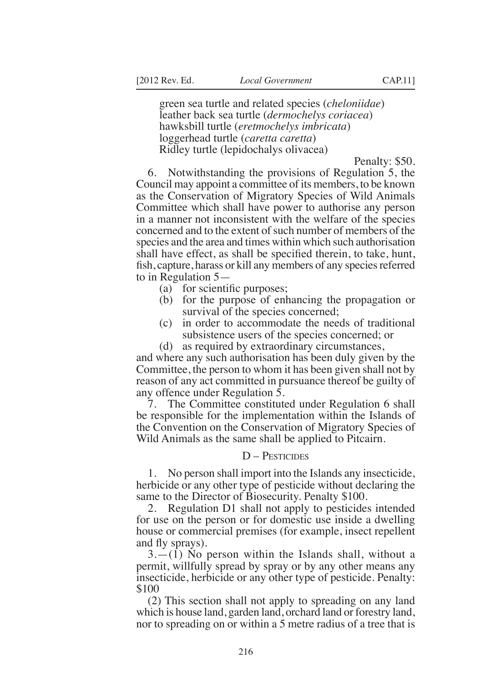green sea turtle and related species (*cheloniidae*) leather back sea turtle (*dermochelys coriacea*) hawksbill turtle (*eretmochelys imbricata*) loggerhead turtle (*caretta caretta*) Ridley turtle (lepidochalys olivacea)

Penalty: \$50.

6. Notwithstanding the provisions of Regulation 5, the Council may appoint a committee of its members, to be known as the Conservation of Migratory Species of Wild Animals Committee which shall have power to authorise any person in a manner not inconsistent with the welfare of the species concerned and to the extent of such number of members of the species and the area and times within which such authorisation shall have effect, as shall be specifed therein, to take, hunt, fish, capture, harass or kill any members of any species referred to in Regulation 5—

- (a) for scientifc purposes;
- (b) for the purpose of enhancing the propagation or survival of the species concerned;
- (c) in order to accommodate the needs of traditional subsistence users of the species concerned; or
- (d) as required by extraordinary circumstances,

and where any such authorisation has been duly given by the Committee, the person to whom it has been given shall not by reason of any act committed in pursuance thereof be guilty of any offence under Regulation 5.

7. The Committee constituted under Regulation 6 shall be responsible for the implementation within the Islands of the Convention on the Conservation of Migratory Species of Wild Animals as the same shall be applied to Pitcairn.

### D – PESTICIDES

1. No person shall import into the Islands any insecticide, herbicide or any other type of pesticide without declaring the same to the Director of Biosecurity. Penalty \$100.

2. Regulation D1 shall not apply to pesticides intended for use on the person or for domestic use inside a dwelling house or commercial premises (for example, insect repellent and fly sprays).

3.—(1) No person within the Islands shall, without a permit, willfully spread by spray or by any other means any insecticide, herbicide or any other type of pesticide. Penalty: \$100

(2) This section shall not apply to spreading on any land which is house land, garden land, orchard land or forestry land, nor to spreading on or within a 5 metre radius of a tree that is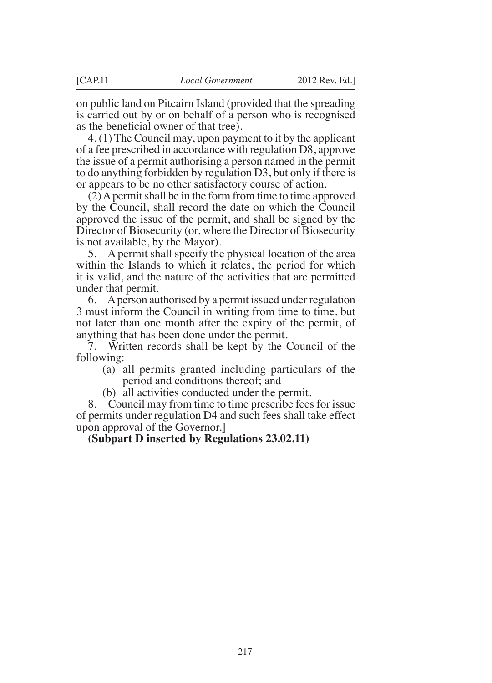on public land on Pitcairn Island (provided that the spreading is carried out by or on behalf of a person who is recognised as the benefcial owner of that tree).

4. (1) The Council may, upon payment to it by the applicant of a fee prescribed in accordance with regulation D8, approve the issue of a permit authorising a person named in the permit to do anything forbidden by regulation D3, but only if there is or appears to be no other satisfactory course of action.

(2) A permit shall be in the form from time to time approved by the Council, shall record the date on which the Council approved the issue of the permit, and shall be signed by the Director of Biosecurity (or, where the Director of Biosecurity is not available, by the Mayor).

5. A permit shall specify the physical location of the area within the Islands to which it relates, the period for which it is valid, and the nature of the activities that are permitted under that permit.

6. A person authorised by a permit issued under regulation 3 must inform the Council in writing from time to time, but not later than one month after the expiry of the permit, of anything that has been done under the permit.

7. Written records shall be kept by the Council of the following:

- (a) all permits granted including particulars of the period and conditions thereof; and
- (b) all activities conducted under the permit.

8. Council may from time to time prescribe fees for issue of permits under regulation D4 and such fees shall take effect upon approval of the Governor.]

**(Subpart D inserted by Regulations 23.02.11)**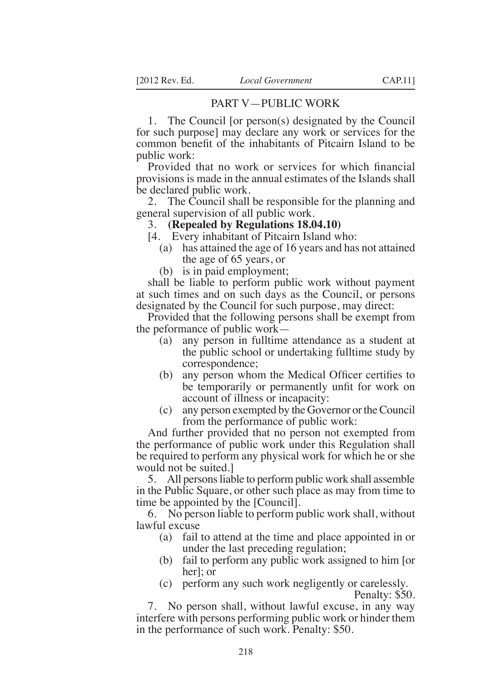## PART V—PUBLIC WORK

1. The Council [or person(s) designated by the Council for such purpose] may declare any work or services for the common beneft of the inhabitants of Pitcairn Island to be public work:

Provided that no work or services for which fnancial provisions is made in the annual estimates of the Islands shall be declared public work.

2. The Council shall be responsible for the planning and general supervision of all public work.

### 3. **(Repealed by Regulations 18.04.10)**

- [4. Every inhabitant of Pitcairn Island who:
	- (a) has attained the age of 16 years and has not attained the age of 65 years, or
	- (b) is in paid employment;

shall be liable to perform public work without payment at such times and on such days as the Council, or persons designated by the Council for such purpose, may direct:

Provided that the following persons shall be exempt from the peformance of public work—

- (a) any person in fulltime attendance as a student at the public school or undertaking fulltime study by correspondence;
- (b) any person whom the Medical Officer certifies to be temporarily or permanently unft for work on account of illness or incapacity:
- (c) any person exempted by the Governor or the Council from the performance of public work:

And further provided that no person not exempted from the performance of public work under this Regulation shall be required to perform any physical work for which he or she would not be suited.]

5. All persons liable to perform public work shall assemble in the Public Square, or other such place as may from time to time be appointed by the [Council].

6. No person liable to perform public work shall, without lawful excuse

- (a) fail to attend at the time and place appointed in or under the last preceding regulation;
- (b) fail to perform any public work assigned to him [or her]; or
- (c) perform any such work negligently or carelessly. Penalty: \$50.

7. No person shall, without lawful excuse, in any way interfere with persons performing public work or hinder them in the performance of such work. Penalty: \$50.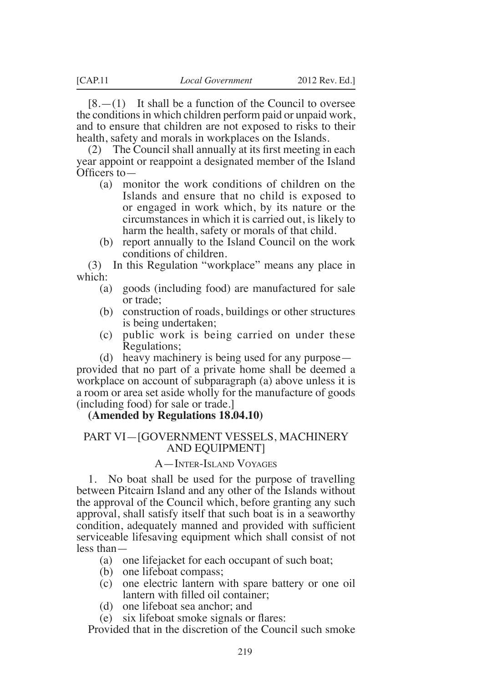$[8,-(1)$  It shall be a function of the Council to oversee the conditions in which children perform paid or unpaid work, and to ensure that children are not exposed to risks to their health, safety and morals in workplaces on the Islands.

(2) The Council shall annually at its frst meeting in each year appoint or reappoint a designated member of the Island Officers to $-$ 

- (a) monitor the work conditions of children on the Islands and ensure that no child is exposed to or engaged in work which, by its nature or the circumstances in which it is carried out, is likely to harm the health, safety or morals of that child.
- (b) report annually to the Island Council on the work conditions of children.

(3) In this Regulation "workplace" means any place in which:

- (a) goods (including food) are manufactured for sale or trade;
- (b) construction of roads, buildings or other structures is being undertaken;
- (c) public work is being carried on under these Regulations;

(d) heavy machinery is being used for any purpose provided that no part of a private home shall be deemed a workplace on account of subparagraph (a) above unless it is a room or area set aside wholly for the manufacture of goods (including food) for sale or trade.]

# **(Amended by Regulations 18.04.10)**

# PART VI—[GOVERNMENT VESSELS, MACHINERY AND EQUIPMENT]

## A—INTER-ISLAND VOYAGES

1. No boat shall be used for the purpose of travelling between Pitcairn Island and any other of the Islands without the approval of the Council which, before granting any such approval, shall satisfy itself that such boat is in a seaworthy condition, adequately manned and provided with suffcient serviceable lifesaving equipment which shall consist of not less than—

- (a) one lifejacket for each occupant of such boat;
- (b) one lifeboat compass;
- (c) one electric lantern with spare battery or one oil lantern with flled oil container;
- (d) one lifeboat sea anchor; and
- (e) six lifeboat smoke signals or fares:

Provided that in the discretion of the Council such smoke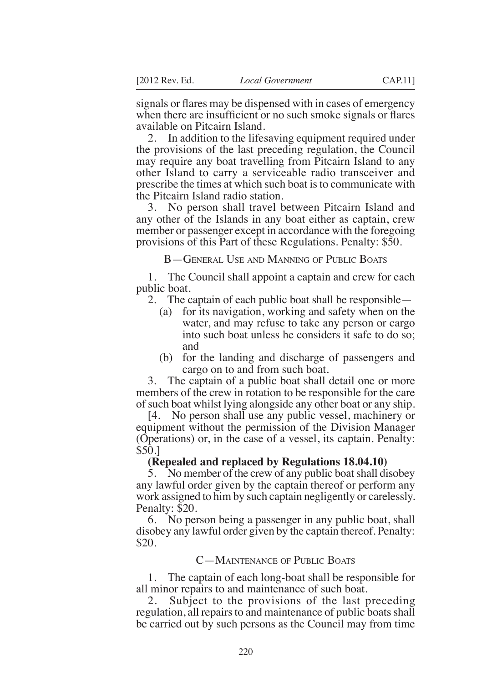signals or fares may be dispensed with in cases of emergency when there are insufficient or no such smoke signals or flares available on Pitcairn Island.

2. In addition to the lifesaving equipment required under the provisions of the last preceding regulation, the Council may require any boat travelling from Pitcairn Island to any other Island to carry a serviceable radio transceiver and prescribe the times at which such boat is to communicate with the Pitcairn Island radio station.

3. No person shall travel between Pitcairn Island and any other of the Islands in any boat either as captain, crew member or passenger except in accordance with the foregoing provisions of this Part of these Regulations. Penalty: \$50.

### B—GENERAL USE AND MANNING OF PUBLIC BOATS

1. The Council shall appoint a captain and crew for each public boat.

- 2. The captain of each public boat shall be responsible—
	- (a) for its navigation, working and safety when on the water, and may refuse to take any person or cargo into such boat unless he considers it safe to do so; and
	- (b) for the landing and discharge of passengers and cargo on to and from such boat.

3. The captain of a public boat shall detail one or more members of the crew in rotation to be responsible for the care of such boat whilst lying alongside any other boat or any ship.

[4. No person shall use any public vessel, machinery or equipment without the permission of the Division Manager (Operations) or, in the case of a vessel, its captain. Penalty: \$50.]

## **(Repealed and replaced by Regulations 18.04.10)**

5. No member of the crew of any public boat shall disobey any lawful order given by the captain thereof or perform any work assigned to him by such captain negligently or carelessly. Penalty: \$20.

6. No person being a passenger in any public boat, shall disobey any lawful order given by the captain thereof. Penalty: \$20.

## C—MAINTENANCE OF PUBLIC BOATS

1. The captain of each long-boat shall be responsible for all minor repairs to and maintenance of such boat.

2. Subject to the provisions of the last preceding regulation, all repairs to and maintenance of public boats shall be carried out by such persons as the Council may from time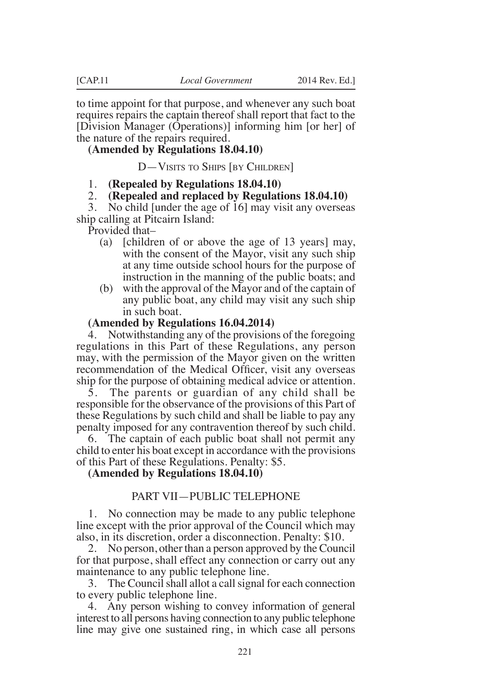to time appoint for that purpose, and whenever any such boat requires repairs the captain thereof shall report that fact to the [Division Manager (Operations)] informing him [or her] of the nature of the repairs required.

# **(Amended by Regulations 18.04.10)**

D—VISITS TO SHIPS [BY CHILDREN]

1. **(Repealed by Regulations 18.04.10)**

2. **(Repealed and replaced by Regulations 18.04.10)**

3. No child [under the age of 16] may visit any overseas ship calling at Pitcairn Island:

Provided that–

- (a) [children of or above the age of 13 years] may, with the consent of the Mayor, visit any such ship at any time outside school hours for the purpose of instruction in the manning of the public boats; and
- (b) with the approval of the Mayor and of the captain of any public boat, any child may visit any such ship in such boat.

## **(Amended by Regulations 16.04.2014)**

4. Notwithstanding any of the provisions of the foregoing regulations in this Part of these Regulations, any person may, with the permission of the Mayor given on the written recommendation of the Medical Officer, visit any overseas ship for the purpose of obtaining medical advice or attention.

5. The parents or guardian of any child shall be responsible for the observance of the provisions of this Part of these Regulations by such child and shall be liable to pay any penalty imposed for any contravention thereof by such child.

6. The captain of each public boat shall not permit any child to enter his boat except in accordance with the provisions of this Part of these Regulations. Penalty: \$5.

# **(Amended by Regulations 18.04.10)**

# PART VII—PUBLIC TELEPHONE

1. No connection may be made to any public telephone line except with the prior approval of the Council which may also, in its discretion, order a disconnection. Penalty: \$10.

2. No person, other than a person approved by the Council for that purpose, shall effect any connection or carry out any maintenance to any public telephone line.

3. The Council shall allot a call signal for each connection to every public telephone line.

4. Any person wishing to convey information of general interest to all persons having connection to any public telephone line may give one sustained ring, in which case all persons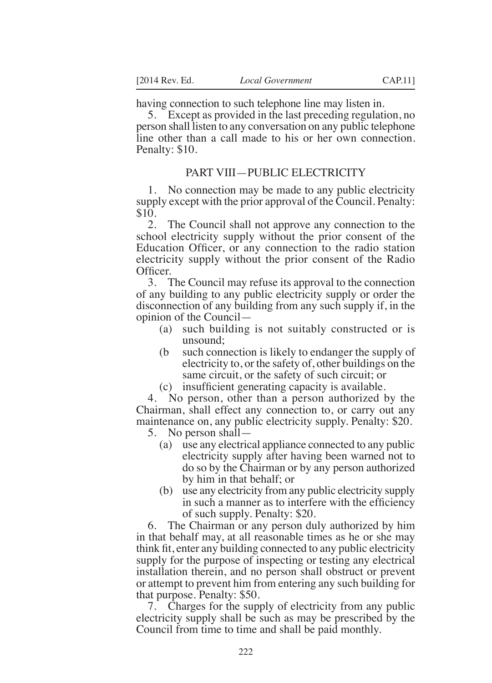having connection to such telephone line may listen in.

5. Except as provided in the last preceding regulation, no person shall listen to any conversation on any public telephone line other than a call made to his or her own connection. Penalty: \$10.

## PART VIII—PUBLIC ELECTRICITY

1. No connection may be made to any public electricity supply except with the prior approval of the Council. Penalty: \$10.

2. The Council shall not approve any connection to the school electricity supply without the prior consent of the Education Officer, or any connection to the radio station electricity supply without the prior consent of the Radio Officer.<br> $3.7$ 

The Council may refuse its approval to the connection of any building to any public electricity supply or order the disconnection of any building from any such supply if, in the opinion of the Council—

- (a) such building is not suitably constructed or is unsound;
- (b such connection is likely to endanger the supply of electricity to, or the safety of, other buildings on the same circuit, or the safety of such circuit; or
- (c) insuffcient generating capacity is available.

4. No person, other than a person authorized by the Chairman, shall effect any connection to, or carry out any maintenance on, any public electricity supply. Penalty: \$20.

5. No person shall—

- (a) use any electrical appliance connected to any public electricity supply after having been warned not to do so by the Chairman or by any person authorized by him in that behalf; or
- (b) use any electricity from any public electricity supply in such a manner as to interfere with the efficiency of such supply. Penalty: \$20.

6. The Chairman or any person duly authorized by him in that behalf may, at all reasonable times as he or she may think ft, enter any building connected to any public electricity supply for the purpose of inspecting or testing any electrical installation therein, and no person shall obstruct or prevent or attempt to prevent him from entering any such building for that purpose. Penalty: \$50.

7. Charges for the supply of electricity from any public electricity supply shall be such as may be prescribed by the Council from time to time and shall be paid monthly.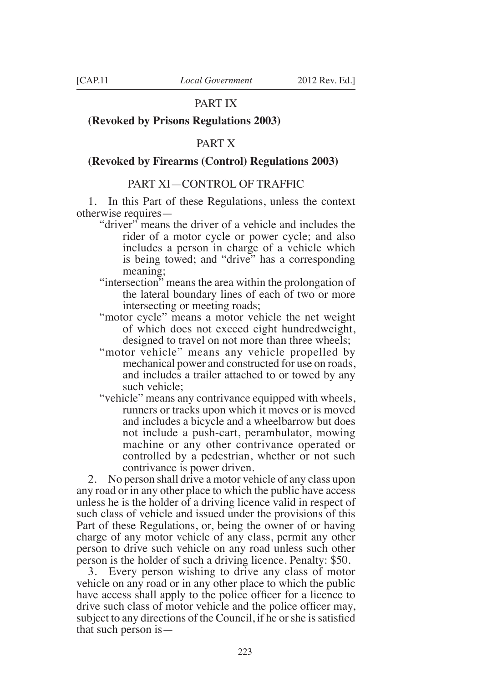# PART IX

### **(Revoked by Prisons Regulations 2003)**

# PART X

### **(Revoked by Firearms (Control) Regulations 2003)**

### PART XI—CONTROL OF TRAFFIC

1. In this Part of these Regulations, unless the context otherwise requires—

- "driver" means the driver of a vehicle and includes the rider of a motor cycle or power cycle; and also includes a person in charge of a vehicle which is being towed; and "drive" has a corresponding meaning;
- "intersection" means the area within the prolongation of the lateral boundary lines of each of two or more intersecting or meeting roads;
- "motor cycle" means a motor vehicle the net weight of which does not exceed eight hundredweight, designed to travel on not more than three wheels;
- "motor vehicle" means any vehicle propelled by mechanical power and constructed for use on roads, and includes a trailer attached to or towed by any such vehicle;
- "vehicle" means any contrivance equipped with wheels, runners or tracks upon which it moves or is moved and includes a bicycle and a wheelbarrow but does not include a push-cart, perambulator, mowing machine or any other contrivance operated or controlled by a pedestrian, whether or not such contrivance is power driven.

2. No person shall drive a motor vehicle of any class upon any road or in any other place to which the public have access unless he is the holder of a driving licence valid in respect of such class of vehicle and issued under the provisions of this Part of these Regulations, or, being the owner of or having charge of any motor vehicle of any class, permit any other person to drive such vehicle on any road unless such other person is the holder of such a driving licence. Penalty: \$50.

3. Every person wishing to drive any class of motor vehicle on any road or in any other place to which the public have access shall apply to the police officer for a licence to drive such class of motor vehicle and the police officer may, subject to any directions of the Council, if he or she is satisfied that such person is—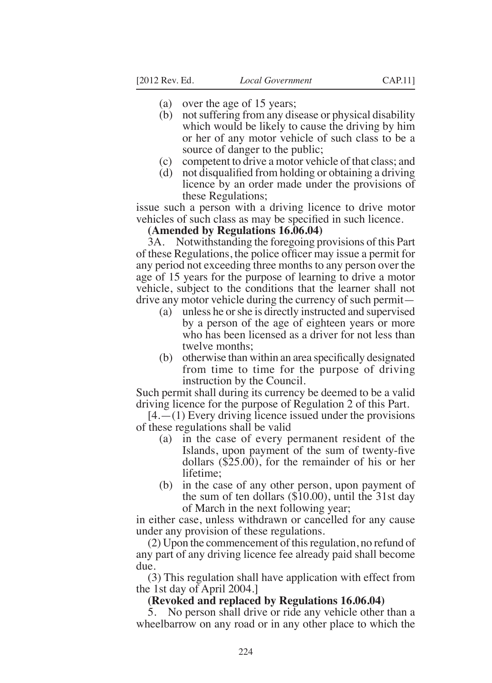- (a) over the age of 15 years;
- (b) not suffering from any disease or physical disability which would be likely to cause the driving by him or her of any motor vehicle of such class to be a source of danger to the public;
- (c) competent to drive a motor vehicle of that class; and
- (d) not disqualifed from holding or obtaining a driving licence by an order made under the provisions of these Regulations;

issue such a person with a driving licence to drive motor vehicles of such class as may be specifed in such licence.

### **(Amended by Regulations 16.06.04)**

3A. Notwithstanding the foregoing provisions of this Part of these Regulations, the police offcer may issue a permit for any period not exceeding three months to any person over the age of 15 years for the purpose of learning to drive a motor vehicle, subject to the conditions that the learner shall not drive any motor vehicle during the currency of such permit—

- (a) unless he or she is directly instructed and supervised by a person of the age of eighteen years or more who has been licensed as a driver for not less than twelve months;
- (b) otherwise than within an area specifcally designated from time to time for the purpose of driving instruction by the Council.

Such permit shall during its currency be deemed to be a valid driving licence for the purpose of Regulation 2 of this Part.

 $[4,-(1)$  Every driving licence issued under the provisions of these regulations shall be valid

- (a) in the case of every permanent resident of the Islands, upon payment of the sum of twenty-fve dollars (\$25.00), for the remainder of his or her lifetime;
- (b) in the case of any other person, upon payment of the sum of ten dollars (\$10.00), until the 31st day of March in the next following year;

in either case, unless withdrawn or cancelled for any cause under any provision of these regulations.

(2) Upon the commencement of this regulation, no refund of any part of any driving licence fee already paid shall become due.

(3) This regulation shall have application with effect from the 1st day of April 2004.]

## **(Revoked and replaced by Regulations 16.06.04)**

5. No person shall drive or ride any vehicle other than a wheelbarrow on any road or in any other place to which the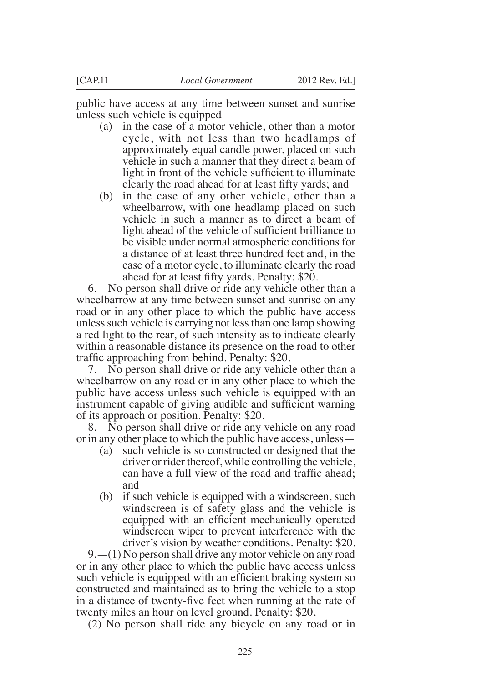public have access at any time between sunset and sunrise unless such vehicle is equipped

- (a) in the case of a motor vehicle, other than a motor cycle, with not less than two headlamps of approximately equal candle power, placed on such vehicle in such a manner that they direct a beam of light in front of the vehicle sufficient to illuminate clearly the road ahead for at least ffty yards; and
- (b) in the case of any other vehicle, other than a wheelbarrow, with one headlamp placed on such vehicle in such a manner as to direct a beam of light ahead of the vehicle of sufficient brilliance to be visible under normal atmospheric conditions for a distance of at least three hundred feet and, in the case of a motor cycle, to illuminate clearly the road ahead for at least fifty yards. Penalty: \$20.

6. No person shall drive or ride any vehicle other than a wheelbarrow at any time between sunset and sunrise on any road or in any other place to which the public have access unless such vehicle is carrying not less than one lamp showing a red light to the rear, of such intensity as to indicate clearly within a reasonable distance its presence on the road to other traffic approaching from behind. Penalty: \$20.

7. No person shall drive or ride any vehicle other than a wheelbarrow on any road or in any other place to which the public have access unless such vehicle is equipped with an instrument capable of giving audible and suffcient warning of its approach or position. Penalty: \$20.

8. No person shall drive or ride any vehicle on any road or in any other place to which the public have access, unless—

- (a) such vehicle is so constructed or designed that the driver or rider thereof, while controlling the vehicle, can have a full view of the road and traffc ahead; and
- (b) if such vehicle is equipped with a windscreen, such windscreen is of safety glass and the vehicle is equipped with an effcient mechanically operated windscreen wiper to prevent interference with the driver's vision by weather conditions. Penalty: \$20.

9.—(1) No person shall drive any motor vehicle on any road or in any other place to which the public have access unless such vehicle is equipped with an efficient braking system so constructed and maintained as to bring the vehicle to a stop in a distance of twenty-fve feet when running at the rate of twenty miles an hour on level ground. Penalty: \$20.

(2) No person shall ride any bicycle on any road or in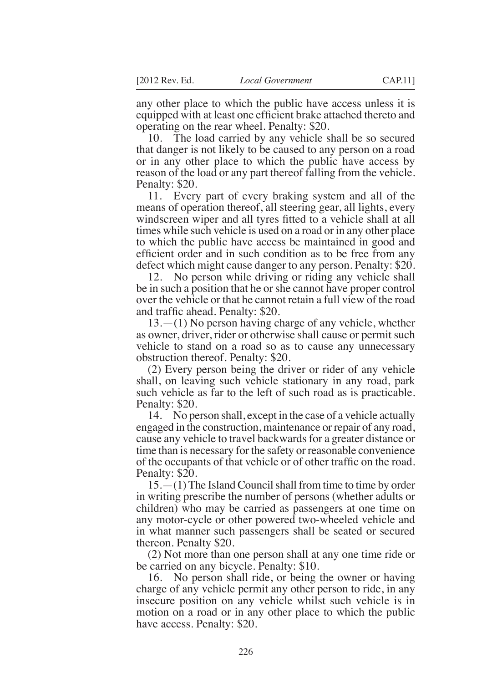any other place to which the public have access unless it is equipped with at least one effcient brake attached thereto and operating on the rear wheel. Penalty: \$20.

10. The load carried by any vehicle shall be so secured that danger is not likely to be caused to any person on a road or in any other place to which the public have access by reason of the load or any part thereof falling from the vehicle. Penalty: \$20.

11. Every part of every braking system and all of the means of operation thereof, all steering gear, all lights, every windscreen wiper and all tyres ftted to a vehicle shall at all times while such vehicle is used on a road or in any other place to which the public have access be maintained in good and effcient order and in such condition as to be free from any defect which might cause danger to any person. Penalty: \$20.

12. No person while driving or riding any vehicle shall be in such a position that he or she cannot have proper control over the vehicle or that he cannot retain a full view of the road and traffic ahead. Penalty: \$20.

13.—(1) No person having charge of any vehicle, whether as owner, driver, rider or otherwise shall cause or permit such vehicle to stand on a road so as to cause any unnecessary obstruction thereof. Penalty: \$20.

(2) Every person being the driver or rider of any vehicle shall, on leaving such vehicle stationary in any road, park such vehicle as far to the left of such road as is practicable. Penalty: \$20.

14. No person shall, except in the case of a vehicle actually engaged in the construction, maintenance or repair of any road, cause any vehicle to travel backwards for a greater distance or time than is necessary for the safety or reasonable convenience of the occupants of that vehicle or of other traffc on the road. Penalty: \$20.

15.—(1) The Island Council shall from time to time by order in writing prescribe the number of persons (whether adults or children) who may be carried as passengers at one time on any motor-cycle or other powered two-wheeled vehicle and in what manner such passengers shall be seated or secured thereon. Penalty \$20.

(2) Not more than one person shall at any one time ride or be carried on any bicycle. Penalty: \$10.

16. No person shall ride, or being the owner or having charge of any vehicle permit any other person to ride, in any insecure position on any vehicle whilst such vehicle is in motion on a road or in any other place to which the public have access. Penalty: \$20.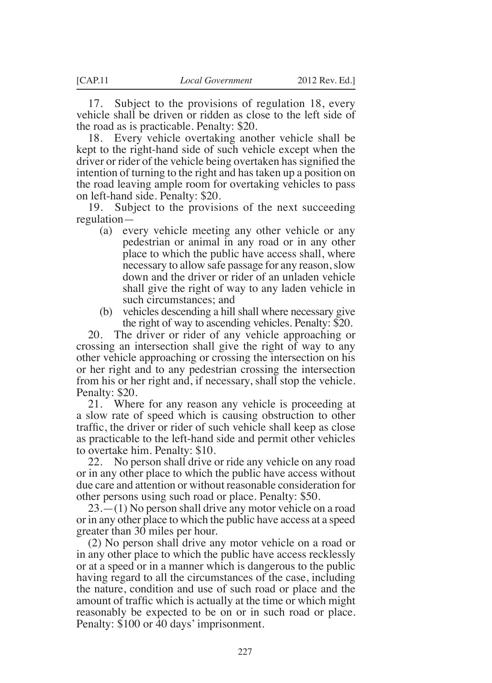17. Subject to the provisions of regulation 18, every vehicle shall be driven or ridden as close to the left side of the road as is practicable. Penalty: \$20.

18. Every vehicle overtaking another vehicle shall be kept to the right-hand side of such vehicle except when the driver or rider of the vehicle being overtaken has signified the intention of turning to the right and has taken up a position on the road leaving ample room for overtaking vehicles to pass on left-hand side. Penalty: \$20.

19. Subject to the provisions of the next succeeding regulation—

- (a) every vehicle meeting any other vehicle or any pedestrian or animal in any road or in any other place to which the public have access shall, where necessary to allow safe passage for any reason, slow down and the driver or rider of an unladen vehicle shall give the right of way to any laden vehicle in such circumstances; and
- (b) vehicles descending a hill shall where necessary give the right of way to ascending vehicles. Penalty: \$20.

20. The driver or rider of any vehicle approaching or crossing an intersection shall give the right of way to any other vehicle approaching or crossing the intersection on his or her right and to any pedestrian crossing the intersection from his or her right and, if necessary, shall stop the vehicle. Penalty: \$20.

21. Where for any reason any vehicle is proceeding at a slow rate of speed which is causing obstruction to other traffc, the driver or rider of such vehicle shall keep as close as practicable to the left-hand side and permit other vehicles to overtake him. Penalty: \$10.

22. No person shall drive or ride any vehicle on any road or in any other place to which the public have access without due care and attention or without reasonable consideration for other persons using such road or place. Penalty: \$50.

23.—(1) No person shall drive any motor vehicle on a road or in any other place to which the public have access at a speed greater than 30 miles per hour.

(2) No person shall drive any motor vehicle on a road or in any other place to which the public have access recklessly or at a speed or in a manner which is dangerous to the public having regard to all the circumstances of the case, including the nature, condition and use of such road or place and the amount of traffc which is actually at the time or which might reasonably be expected to be on or in such road or place. Penalty: \$100 or 40 days' imprisonment.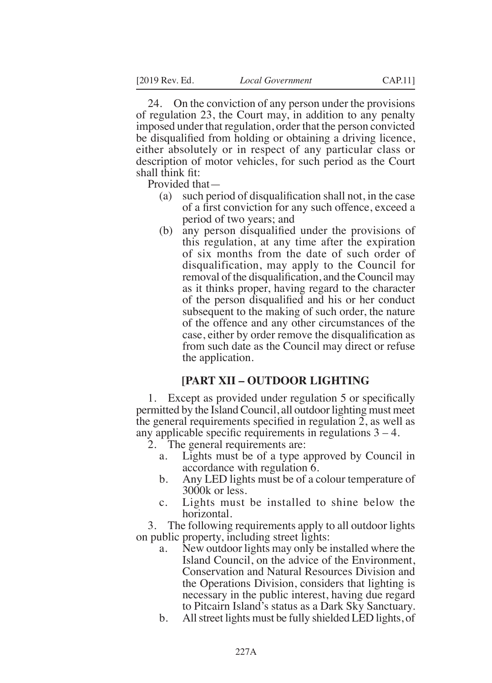24. On the conviction of any person under the provisions of regulation 23, the Court may, in addition to any penalty imposed under that regulation, order that the person convicted be disqualifed from holding or obtaining a driving licence, either absolutely or in respect of any particular class or description of motor vehicles, for such period as the Court shall think ft:

Provided that—

- (a) such period of disqualifcation shall not, in the case of a frst conviction for any such offence, exceed a period of two years; and
- (b) any person disqualifed under the provisions of this regulation, at any time after the expiration of six months from the date of such order of disqualification, may apply to the Council for removal of the disqualifcation, and the Council may as it thinks proper, having regard to the character of the person disqualifed and his or her conduct subsequent to the making of such order, the nature of the offence and any other circumstances of the case, either by order remove the disqualifcation as from such date as the Council may direct or refuse the application.

## **[PART XII – OUTDOOR LIGHTING**

1. Except as provided under regulation 5 or specifcally permitted by the Island Council, all outdoor lighting must meet the general requirements specifed in regulation 2, as well as any applicable specific requirements in regulations  $3 - 4$ .

2. The general requirements are:

- a. Lights must be of a type approved by Council in accordance with regulation 6.
- b. Any LED lights must be of a colour temperature of 3000k or less.
- c. Lights must be installed to shine below the horizontal.

3. The following requirements apply to all outdoor lights on public property, including street lights:

- a. New outdoor lights may only be installed where the Island Council, on the advice of the Environment, Conservation and Natural Resources Division and the Operations Division, considers that lighting is necessary in the public interest, having due regard to Pitcairn Island's status as a Dark Sky Sanctuary.
- b. All street lights must be fully shielded LED lights, of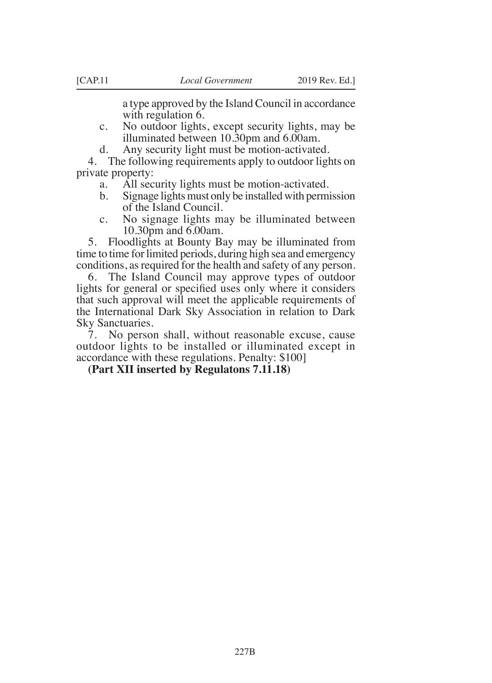a type approved by the Island Council in accordance with regulation 6.

- c. No outdoor lights, except security lights, may be illuminated between 10.30pm and 6.00am.
- d. Any security light must be motion-activated.

4. The following requirements apply to outdoor lights on private property:

- a. All security lights must be motion-activated.
- b. Signage lights must only be installed with permission of the Island Council.
- c. No signage lights may be illuminated between 10.30pm and 6.00am.

5. Floodlights at Bounty Bay may be illuminated from time to time for limited periods, during high sea and emergency conditions, as required for the health and safety of any person.

6. The Island Council may approve types of outdoor lights for general or specifed uses only where it considers that such approval will meet the applicable requirements of the International Dark Sky Association in relation to Dark Sky Sanctuaries.

7. No person shall, without reasonable excuse, cause outdoor lights to be installed or illuminated except in accordance with these regulations. Penalty: \$100]

**(Part XII inserted by Regulatons 7.11.18)**